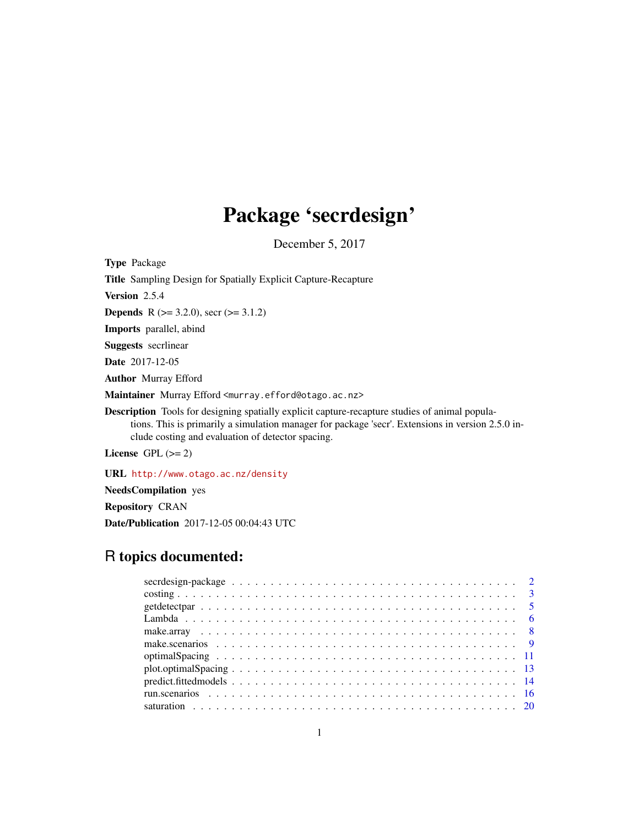# Package 'secrdesign'

December 5, 2017

<span id="page-0-0"></span>

| <b>Type Package</b>                                                                                                                                                                                                                                             |
|-----------------------------------------------------------------------------------------------------------------------------------------------------------------------------------------------------------------------------------------------------------------|
| <b>Title</b> Sampling Design for Spatially Explicit Capture-Recapture                                                                                                                                                                                           |
| Version 2.5.4                                                                                                                                                                                                                                                   |
| <b>Depends</b> R $(>= 3.2.0)$ , secr $(>= 3.1.2)$                                                                                                                                                                                                               |
| <b>Imports</b> parallel, abind                                                                                                                                                                                                                                  |
| <b>Suggests</b> secrimear                                                                                                                                                                                                                                       |
| <b>Date</b> 2017-12-05                                                                                                                                                                                                                                          |
| <b>Author</b> Murray Efford                                                                                                                                                                                                                                     |
| Maintainer Murray Efford <murray.efford@otago.ac.nz></murray.efford@otago.ac.nz>                                                                                                                                                                                |
| <b>Description</b> Tools for designing spatially explicit capture-recapture studies of animal popula-<br>tions. This is primarily a simulation manager for package 'secr'. Extensions in version 2.5.0 in-<br>clude costing and evaluation of detector spacing. |
| License $GPL \, (>= 2)$                                                                                                                                                                                                                                         |

URL <http://www.otago.ac.nz/density>

NeedsCompilation yes

Repository CRAN

Date/Publication 2017-12-05 00:04:43 UTC

# R topics documented: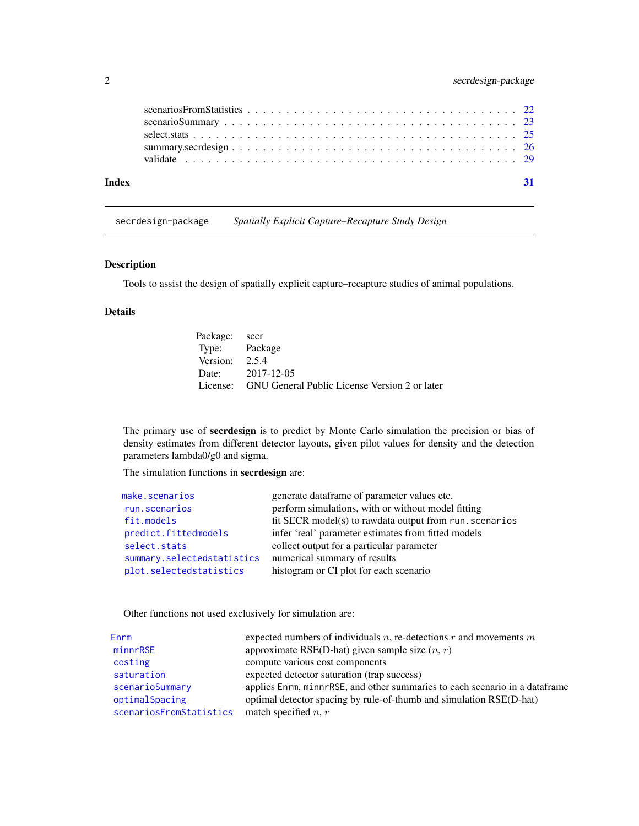<span id="page-1-0"></span>

| Index |  |  |  |  |  |  |  |  |  |  |  |  |  |  |  |  |  |
|-------|--|--|--|--|--|--|--|--|--|--|--|--|--|--|--|--|--|
|       |  |  |  |  |  |  |  |  |  |  |  |  |  |  |  |  |  |
|       |  |  |  |  |  |  |  |  |  |  |  |  |  |  |  |  |  |
|       |  |  |  |  |  |  |  |  |  |  |  |  |  |  |  |  |  |

secrdesign-package *Spatially Explicit Capture–Recapture Study Design*

# Description

Tools to assist the design of spatially explicit capture–recapture studies of animal populations.

# Details

| Package: secr    |                                                        |
|------------------|--------------------------------------------------------|
| Type: Package    |                                                        |
| Version: $2.5.4$ |                                                        |
|                  | Date: 2017-12-05                                       |
|                  | License: GNU General Public License Version 2 or later |

The primary use of secrdesign is to predict by Monte Carlo simulation the precision or bias of density estimates from different detector layouts, given pilot values for density and the detection parameters lambda0/g0 and sigma.

The simulation functions in secrdesign are:

| make.scenarios             | generate dataframe of parameter values etc.             |
|----------------------------|---------------------------------------------------------|
| run.scenarios              | perform simulations, with or without model fitting      |
| fit.models                 | fit SECR model(s) to rawdata output from run. scenarios |
| predict.fittedmodels       | infer 'real' parameter estimates from fitted models     |
| select.stats               | collect output for a particular parameter               |
| summary.selectedstatistics | numerical summary of results                            |
| plot.selectedstatistics    | histogram or CI plot for each scenario                  |
|                            |                                                         |

Other functions not used exclusively for simulation are:

| Enrm                    | expected numbers of individuals $n$ , re-detections $r$ and movements $m$    |
|-------------------------|------------------------------------------------------------------------------|
| minnrRSE                | approximate RSE(D-hat) given sample size $(n, r)$                            |
| costing                 | compute various cost components                                              |
| saturation              | expected detector saturation (trap success)                                  |
| scenarioSummary         | applies Enrm, minnrRSE, and other summaries to each scenario in a data frame |
| optimalSpacing          | optimal detector spacing by rule-of-thumb and simulation RSE(D-hat)          |
| scenariosFromStatistics | match specified $n, r$                                                       |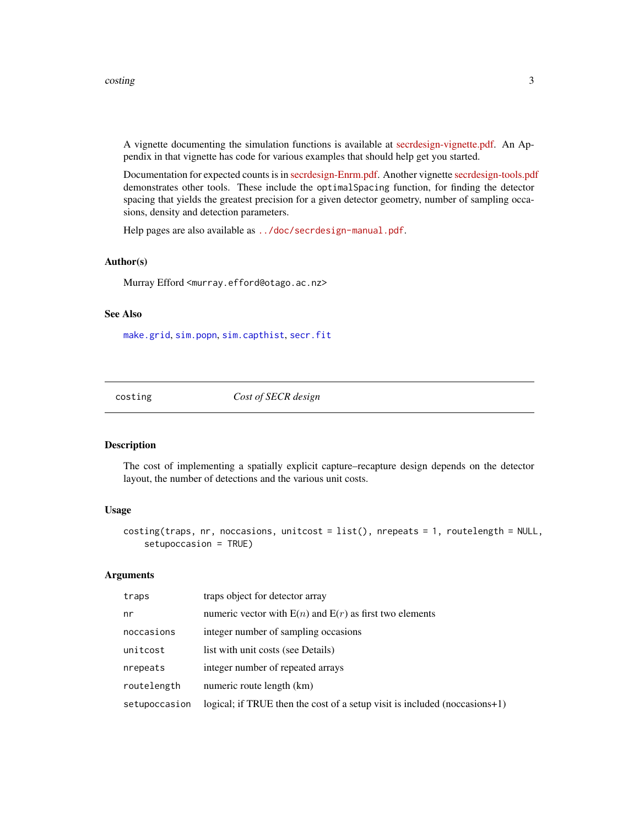<span id="page-2-0"></span>A vignette documenting the simulation functions is available at [secrdesign-vignette.pdf.](http://www.otago.ac.nz/density/pdfs/secrdesign-vignette.pdf) An Appendix in that vignette has code for various examples that should help get you started.

Documentation for expected counts is in [secrdesign-Enrm.pdf.](http://www.otago.ac.nz/density/pdfs/secrdesign-Enrm.pdf) Another vignette [secrdesign-tools.pdf](http://www.otago.ac.nz/density/pdfs/secrdesign-tools.pdf) demonstrates other tools. These include the optimalSpacing function, for finding the detector spacing that yields the greatest precision for a given detector geometry, number of sampling occasions, density and detection parameters.

Help pages are also available as <../doc/secrdesign-manual.pdf>.

#### Author(s)

Murray Efford <murray.efford@otago.ac.nz>

#### See Also

[make.grid](#page-0-0), [sim.popn](#page-0-0), [sim.capthist](#page-0-0), [secr.fit](#page-0-0)

<span id="page-2-1"></span>costing *Cost of SECR design*

#### Description

The cost of implementing a spatially explicit capture–recapture design depends on the detector layout, the number of detections and the various unit costs.

# Usage

```
costing(traps, nr, noccasions, unitcost = list(), nrepeats = 1, routelength = NULL,
    setupoccasion = TRUE)
```
#### Arguments

| traps         | traps object for detector array                                                |
|---------------|--------------------------------------------------------------------------------|
| nr            | numeric vector with $E(n)$ and $E(r)$ as first two elements                    |
| noccasions    | integer number of sampling occasions                                           |
| unitcost      | list with unit costs (see Details)                                             |
| nrepeats      | integer number of repeated arrays                                              |
| routelength   | numeric route length (km)                                                      |
| setupoccasion | logical; if TRUE then the cost of a setup visit is included (noccasions $+1$ ) |
|               |                                                                                |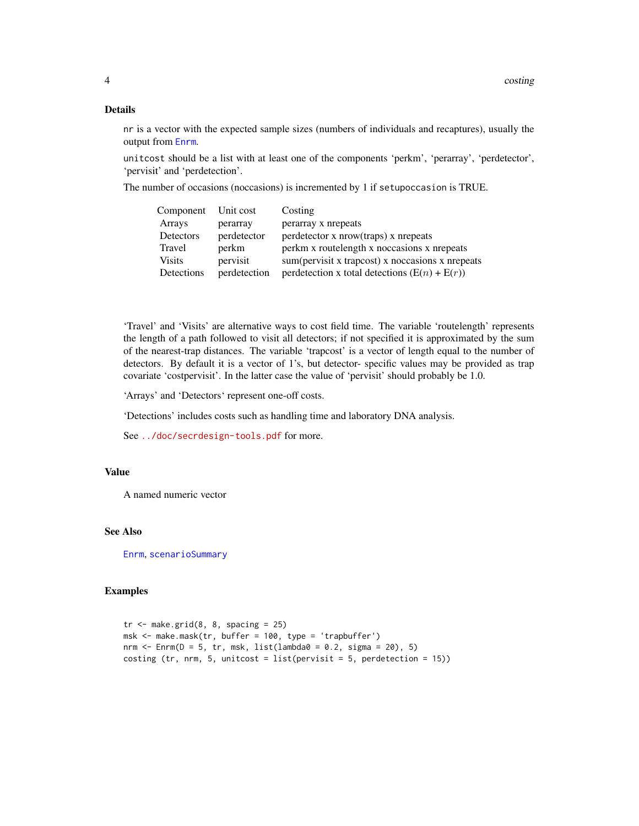# <span id="page-3-0"></span>Details

nr is a vector with the expected sample sizes (numbers of individuals and recaptures), usually the output from [Enrm](#page-5-1).

unitcost should be a list with at least one of the components 'perkm', 'perarray', 'perdetector', 'pervisit' and 'perdetection'.

The number of occasions (noccasions) is incremented by 1 if setupoccasion is TRUE.

| Component Unit cost |              | Costing                                          |
|---------------------|--------------|--------------------------------------------------|
| Arrays              | perarray     | perarray x nrepeats                              |
| Detectors           | perdetector  | perdetector x nrow(traps) x nrepeats             |
| Travel              | perkm        | perkm x routelength x noccasions x nrepeats      |
| <b>Visits</b>       | pervisit     | sum(pervisit x trapcost) x noccasions x nrepeats |
| Detections          | perdetection | perdetection x total detections $(E(n) + E(r))$  |

'Travel' and 'Visits' are alternative ways to cost field time. The variable 'routelength' represents the length of a path followed to visit all detectors; if not specified it is approximated by the sum of the nearest-trap distances. The variable 'trapcost' is a vector of length equal to the number of detectors. By default it is a vector of 1's, but detector- specific values may be provided as trap covariate 'costpervisit'. In the latter case the value of 'pervisit' should probably be 1.0.

'Arrays' and 'Detectors' represent one-off costs.

'Detections' includes costs such as handling time and laboratory DNA analysis.

See <../doc/secrdesign-tools.pdf> for more.

# Value

A named numeric vector

# See Also

[Enrm](#page-5-1), [scenarioSummary](#page-22-1)

#### Examples

```
tr < - make.grid(8, 8, spacing = 25)
msk <- make.mask(tr, buffer = 100, type = 'trapbuffer')
nrm \le Enrm(D = 5, tr, msk, list(lambda0 = 0.2, sigma = 20), 5)
costing (tr, nrm, 5, unitcost = list(pervisit = 5, perdetection = 15))
```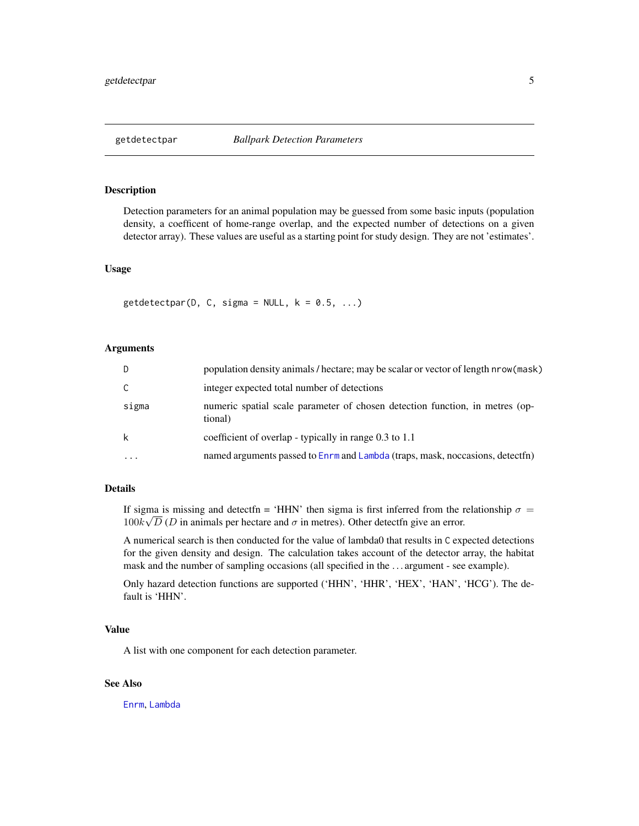<span id="page-4-1"></span><span id="page-4-0"></span>

# **Description**

Detection parameters for an animal population may be guessed from some basic inputs (population density, a coefficent of home-range overlap, and the expected number of detections on a given detector array). These values are useful as a starting point for study design. They are not 'estimates'.

#### Usage

 $getdetector(D, C, sigma = NULL, k = 0.5, ...)$ 

### Arguments

| D        | population density animals / hectare; may be scalar or vector of length nrow (mask)     |
|----------|-----------------------------------------------------------------------------------------|
|          | integer expected total number of detections                                             |
| sigma    | numeric spatial scale parameter of chosen detection function, in metres (op-<br>tional) |
|          | coefficient of overlap - typically in range 0.3 to 1.1                                  |
| $\cdots$ | named arguments passed to Enrm and Lambda (traps, mask, noccasions, detectfn)           |

# Details

If sigma is missing and detectfn = 'HHN' then sigma is first inferred from the relationship  $\sigma =$  $100k\sqrt{D}$  (D in animals per hectare and  $\sigma$  in metres). Other detect in give an error.

A numerical search is then conducted for the value of lambda0 that results in C expected detections for the given density and design. The calculation takes account of the detector array, the habitat mask and the number of sampling occasions (all specified in the . . . argument - see example).

Only hazard detection functions are supported ('HHN', 'HHR', 'HEX', 'HAN', 'HCG'). The default is 'HHN'.

#### Value

A list with one component for each detection parameter.

# See Also

[Enrm](#page-5-1), [Lambda](#page-5-2)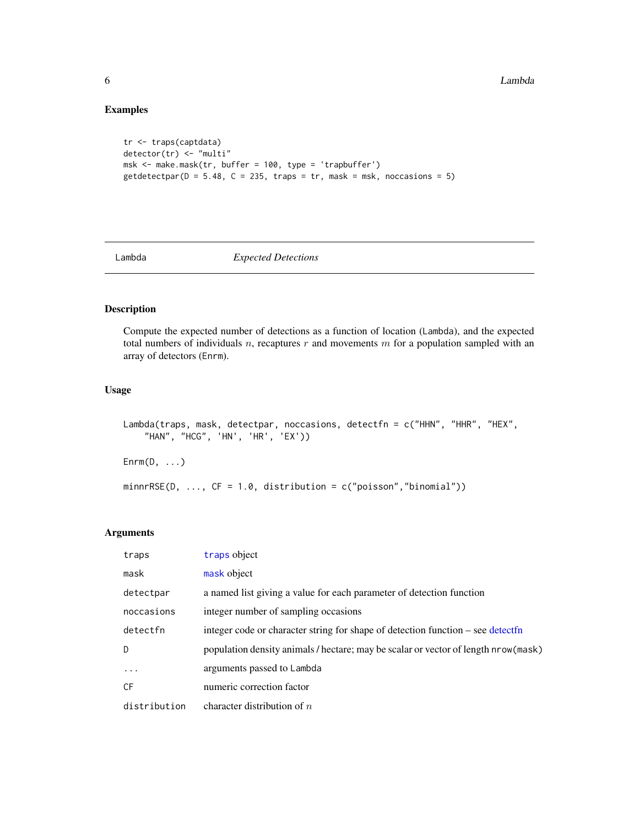# Examples

```
tr <- traps(captdata)
detector(tr) <- "multi"
msk <- make.mask(tr, buffer = 100, type = 'trapbuffer')
getdetector(D = 5.48, C = 235, traps = tr, mask = msk, noccasions = 5)
```
<span id="page-5-2"></span>

Lambda *Expected Detections*

# <span id="page-5-1"></span>Description

Compute the expected number of detections as a function of location (Lambda), and the expected total numbers of individuals  $n$ , recaptures  $r$  and movements  $m$  for a population sampled with an array of detectors (Enrm).

# Usage

```
Lambda(traps, mask, detectpar, noccasions, detectfn = c("HHN", "HHR", "HEX",
    "HAN", "HCG", 'HN', 'HR', 'EX'))
\mathsf{Enrm}(\mathsf{D}, \ldots)minnrRSE(D, ..., CF = 1.0, distribution = c("poisson", "binomial"))
```
# Arguments

| traps        | traps object                                                                       |
|--------------|------------------------------------------------------------------------------------|
| mask         | mask object                                                                        |
| detectpar    | a named list giving a value for each parameter of detection function               |
| noccasions   | integer number of sampling occasions                                               |
| detectfn     | integer code or character string for shape of detection function – see detectfn    |
| $\mathsf{D}$ | population density animals / hectare; may be scalar or vector of length nrow(mask) |
| $\ddots$ .   | arguments passed to Lambda                                                         |
| CF           | numeric correction factor                                                          |
| distribution | character distribution of $n$                                                      |

<span id="page-5-0"></span>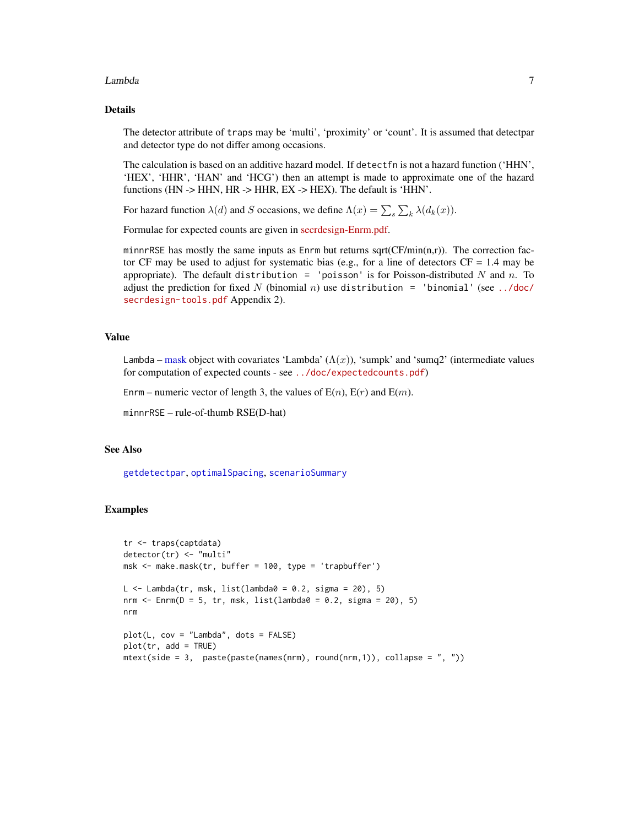#### <span id="page-6-0"></span>Lambda 7

# Details

The detector attribute of traps may be 'multi', 'proximity' or 'count'. It is assumed that detectpar and detector type do not differ among occasions.

The calculation is based on an additive hazard model. If detectfn is not a hazard function ('HHN', 'HEX', 'HHR', 'HAN' and 'HCG') then an attempt is made to approximate one of the hazard functions (HN -> HHN, HR -> HHR, EX -> HEX). The default is 'HHN'.

For hazard function  $\lambda(d)$  and S occasions, we define  $\Lambda(x) = \sum_{s} \sum_{k} \lambda(d_k(x))$ .

Formulae for expected counts are given in [secrdesign-Enrm.pdf.](http://www.otago.ac.nz/density/pdfs/secrdesign-Enrm.pdf)

minnrRSE has mostly the same inputs as  $Enrm$  but returns sqrt( $CF/min(n,r)$ ). The correction factor CF may be used to adjust for systematic bias (e.g., for a line of detectors  $CF = 1.4$  may be appropriate). The default distribution = 'poisson' is for Poisson-distributed N and n. To adjust the prediction for fixed N (binomial n) use distribution = 'binomial' (see [../doc/](../doc/secrdesign-tools.pdf) [secrdesign-tools.pdf](../doc/secrdesign-tools.pdf) Appendix 2).

#### Value

Lambda – [mask](#page-0-0) object with covariates 'Lambda'  $(\Lambda(x))$ , 'sumpk' and 'sumq2' (intermediate values for computation of expected counts - see <../doc/expectedcounts.pdf>)

Enrm – numeric vector of length 3, the values of  $E(n)$ ,  $E(r)$  and  $E(m)$ .

minnrRSE – rule-of-thumb RSE(D-hat)

# See Also

[getdetectpar](#page-4-1), [optimalSpacing](#page-10-1), [scenarioSummary](#page-22-1)

# Examples

```
tr <- traps(captdata)
detector(tr) <- "multi"
msk <- make.mask(tr, buffer = 100, type = 'trapbuffer')
L \le Lambda(tr, msk, list(lambda0 = 0.2, sigma = 20), 5)
nrm \le Enrm(D = 5, tr, msk, list(lambda0 = 0.2, sigma = 20), 5)
nrm
plot(L, cov = "Lambda", dots = FALSE)
plot(tr, add = TRUE)mtext{text(side = 3, paste(paste(names(nrm)), round(nrm,1)), collapse = ", "))
```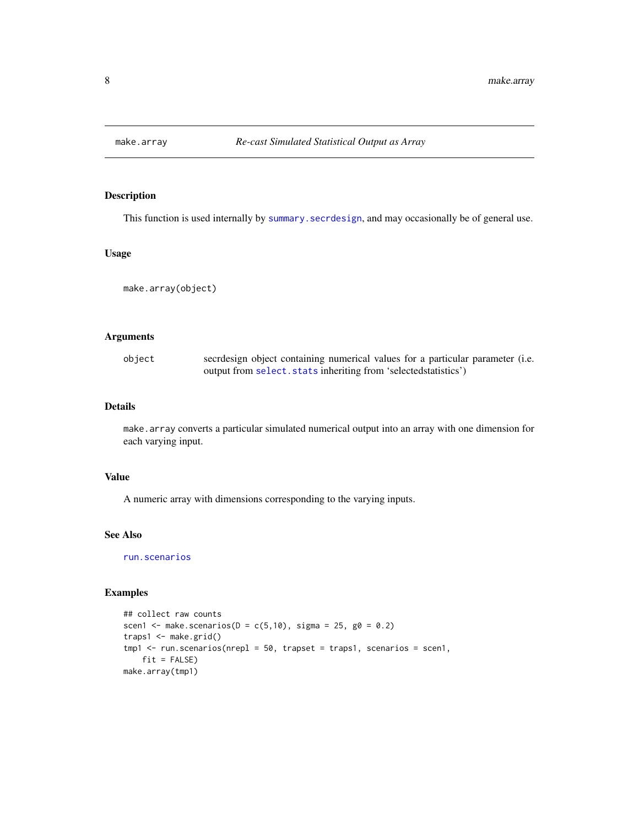<span id="page-7-1"></span><span id="page-7-0"></span>

# Description

This function is used internally by [summary.secrdesign](#page-25-2), and may occasionally be of general use.

# Usage

```
make.array(object)
```
### Arguments

object secrdesign object containing numerical values for a particular parameter (i.e. output from [select.stats](#page-24-1) inheriting from 'selectedstatistics')

# Details

make.array converts a particular simulated numerical output into an array with one dimension for each varying input.

# Value

A numeric array with dimensions corresponding to the varying inputs.

### See Also

[run.scenarios](#page-15-1)

# Examples

```
## collect raw counts
scen1 <- make.scenarios(D = c(5,10), sigma = 25, g0 = 0.2)
traps1 <- make.grid()
tmp1 <- run.scenarios(nrepl = 50, trapset = traps1, scenarios = scen1,
   fit = FALSE)
make.array(tmp1)
```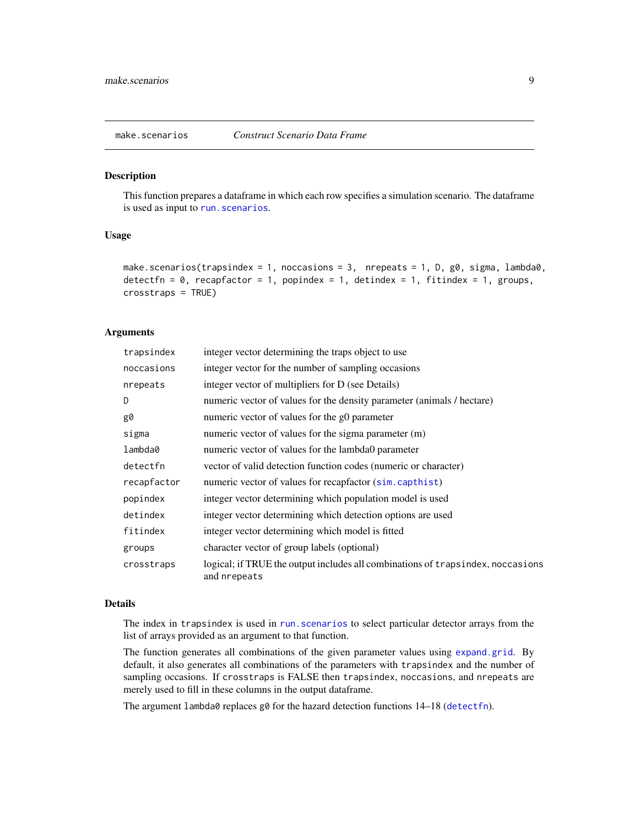<span id="page-8-1"></span><span id="page-8-0"></span>

#### Description

This function prepares a dataframe in which each row specifies a simulation scenario. The dataframe is used as input to run. scenarios.

# Usage

```
make.scenarios(trapsindex = 1, noccasions = 3, nrepeats = 1, D, g0, sigma, lambda0,
detectfn = 0, recapfactor = 1, popindex = 1, detindex = 1, fitindex = 1, groups,
crosstraps = TRUE)
```
# Arguments

| trapsindex  | integer vector determining the traps object to use                                              |
|-------------|-------------------------------------------------------------------------------------------------|
| noccasions  | integer vector for the number of sampling occasions                                             |
| nrepeats    | integer vector of multipliers for D (see Details)                                               |
| D           | numeric vector of values for the density parameter (animals / hectare)                          |
| g0          | numeric vector of values for the g0 parameter                                                   |
| sigma       | numeric vector of values for the sigma parameter $(m)$                                          |
| lambda0     | numeric vector of values for the lambda0 parameter                                              |
| detectfn    | vector of valid detection function codes (numeric or character)                                 |
| recapfactor | numeric vector of values for recapfactor (sim.capthist)                                         |
| popindex    | integer vector determining which population model is used                                       |
| detindex    | integer vector determining which detection options are used                                     |
| fitindex    | integer vector determining which model is fitted                                                |
| groups      | character vector of group labels (optional)                                                     |
| crosstraps  | logical; if TRUE the output includes all combinations of trapsindex, noccasions<br>and nrepeats |

# Details

The index in trapsindex is used in run. scenarios to select particular detector arrays from the list of arrays provided as an argument to that function.

The function generates all combinations of the given parameter values using [expand.grid](#page-0-0). By default, it also generates all combinations of the parameters with trapsindex and the number of sampling occasions. If crosstraps is FALSE then trapsindex, noccasions, and nrepeats are merely used to fill in these columns in the output dataframe.

The argument lambda0 replaces g0 for the hazard detection functions 14–18 ([detectfn](#page-0-0)).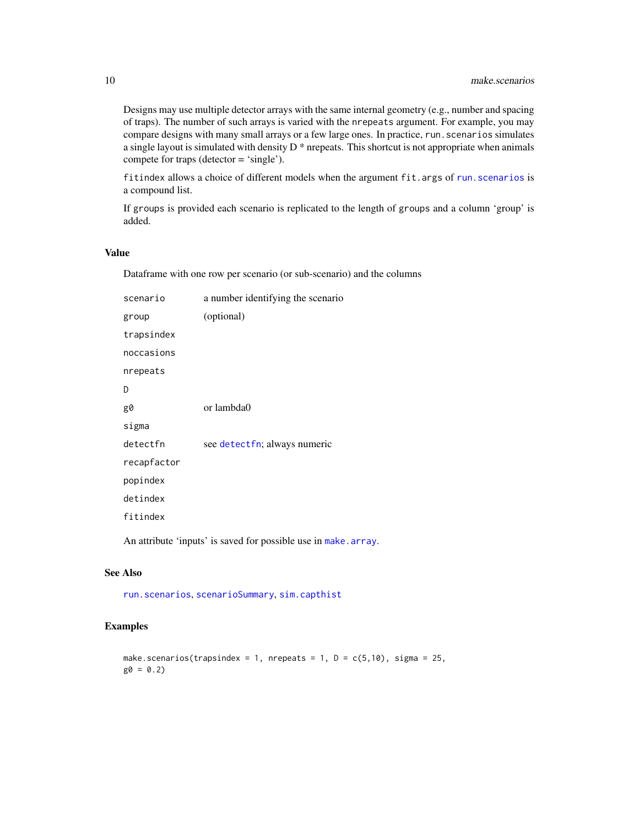<span id="page-9-0"></span>Designs may use multiple detector arrays with the same internal geometry (e.g., number and spacing of traps). The number of such arrays is varied with the nrepeats argument. For example, you may compare designs with many small arrays or a few large ones. In practice, run. scenarios simulates a single layout is simulated with density D \* nrepeats. This shortcut is not appropriate when animals compete for traps (detector = 'single').

fitindex allows a choice of different models when the argument fit.args of [run.scenarios](#page-15-1) is a compound list.

If groups is provided each scenario is replicated to the length of groups and a column 'group' is added.

# Value

Dataframe with one row per scenario (or sub-scenario) and the columns

| scenario    | a number identifying the scenario |
|-------------|-----------------------------------|
| group       | (optional)                        |
| trapsindex  |                                   |
| noccasions  |                                   |
| nrepeats    |                                   |
| D           |                                   |
| g0          | or lambda0                        |
| sigma       |                                   |
| detectfn    | see detectfn; always numeric      |
| recapfactor |                                   |
| popindex    |                                   |
| detindex    |                                   |
| fitindex    |                                   |
|             |                                   |

An attribute 'inputs' is saved for possible use in [make.array](#page-7-1).

# See Also

[run.scenarios](#page-15-1), [scenarioSummary](#page-22-1), [sim.capthist](#page-0-0)

# Examples

```
make.scenarios(trapsindex = 1, nrepeats = 1, D = c(5, 10), sigma = 25,
g0 = 0.2
```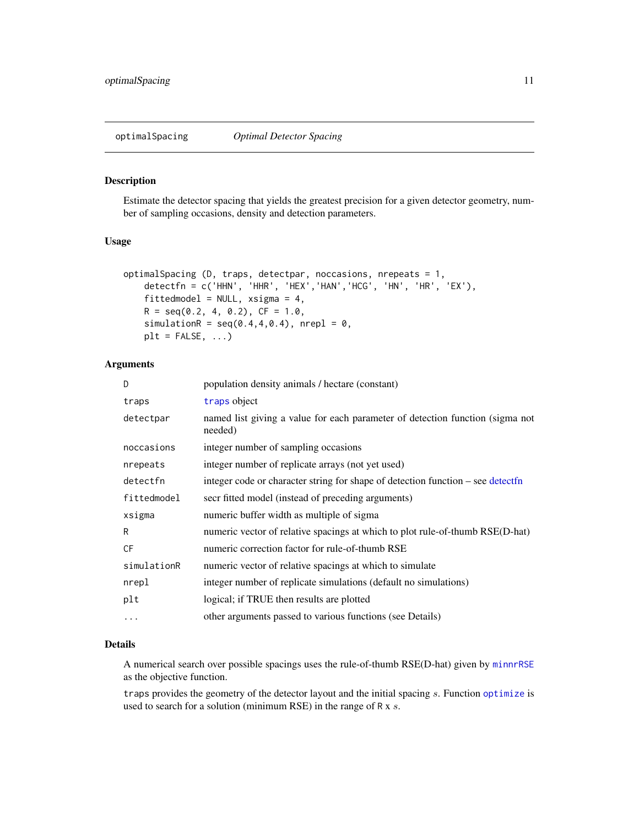#### <span id="page-10-1"></span><span id="page-10-0"></span>Description

Estimate the detector spacing that yields the greatest precision for a given detector geometry, number of sampling occasions, density and detection parameters.

# Usage

```
optimalSpacing (D, traps, detectpar, noccasions, nrepeats = 1,
   detectfn = c('HHN', 'HHR', 'HEX','HAN','HCG', 'HN', 'HR', 'EX'),
   fittedmodel = NULL, xsigma = 4,
   R = seq(0.2, 4, 0.2), CF = 1.0,simulationR = seq(0.4, 4, 0.4), nrepl = 0,
   plt = FALSE, ...)
```
# Arguments

| D           | population density animals / hectare (constant)                                          |
|-------------|------------------------------------------------------------------------------------------|
| traps       | traps object                                                                             |
| detectpar   | named list giving a value for each parameter of detection function (sigma not<br>needed) |
| noccasions  | integer number of sampling occasions                                                     |
| nrepeats    | integer number of replicate arrays (not yet used)                                        |
| detectfn    | integer code or character string for shape of detection function – see detectfn          |
| fittedmodel | secr fitted model (instead of preceding arguments)                                       |
| xsigma      | numeric buffer width as multiple of sigma                                                |
| R           | numeric vector of relative spacings at which to plot rule-of-thumb RSE(D-hat)            |
| CF          | numeric correction factor for rule-of-thumb RSE                                          |
| simulationR | numeric vector of relative spacings at which to simulate                                 |
| nrepl       | integer number of replicate simulations (default no simulations)                         |
| plt         | logical; if TRUE then results are plotted                                                |
| $\cdots$    | other arguments passed to various functions (see Details)                                |
|             |                                                                                          |

# Details

A numerical search over possible spacings uses the rule-of-thumb RSE(D-hat) given by [minnrRSE](#page-5-1) as the objective function.

traps provides the geometry of the detector layout and the initial spacing s. Function [optimize](#page-0-0) is used to search for a solution (minimum RSE) in the range of R x s.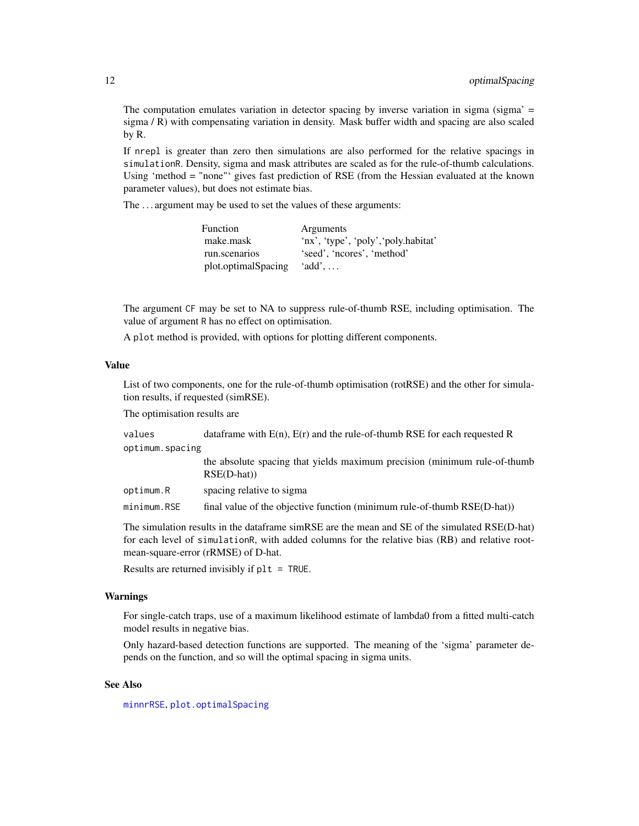<span id="page-11-0"></span>The computation emulates variation in detector spacing by inverse variation in sigma (sigma' = sigma / R) with compensating variation in density. Mask buffer width and spacing are also scaled by R.

If nrepl is greater than zero then simulations are also performed for the relative spacings in simulationR. Density, sigma and mask attributes are scaled as for the rule-of-thumb calculations. Using 'method = "none"' gives fast prediction of RSE (from the Hessian evaluated at the known parameter values), but does not estimate bias.

The . . . argument may be used to set the values of these arguments:

| Function            | Arguments                            |
|---------------------|--------------------------------------|
| make.mask           | 'nx', 'type', 'poly', 'poly.habitat' |
| run.scenarios       | 'seed', 'ncores', 'method'           |
| plot.optimalSpacing | $'add'$                              |

The argument CF may be set to NA to suppress rule-of-thumb RSE, including optimisation. The value of argument R has no effect on optimisation.

A plot method is provided, with options for plotting different components.

# Value

List of two components, one for the rule-of-thumb optimisation (rotRSE) and the other for simulation results, if requested (simRSE).

The optimisation results are

values dataframe with  $E(n)$ ,  $E(r)$  and the rule-of-thumb RSE for each requested R optimum.spacing

> the absolute spacing that yields maximum precision (minimum rule-of-thumb RSE(D-hat))

optimum.R spacing relative to sigma

minimum.RSE final value of the objective function (minimum rule-of-thumb RSE(D-hat))

The simulation results in the dataframe simRSE are the mean and SE of the simulated RSE(D-hat) for each level of simulationR, with added columns for the relative bias (RB) and relative rootmean-square-error (rRMSE) of D-hat.

Results are returned invisibly if plt = TRUE.

#### Warnings

For single-catch traps, use of a maximum likelihood estimate of lambda0 from a fitted multi-catch model results in negative bias.

Only hazard-based detection functions are supported. The meaning of the 'sigma' parameter depends on the function, and so will the optimal spacing in sigma units.

# See Also

[minnrRSE](#page-5-1), [plot.optimalSpacing](#page-12-1)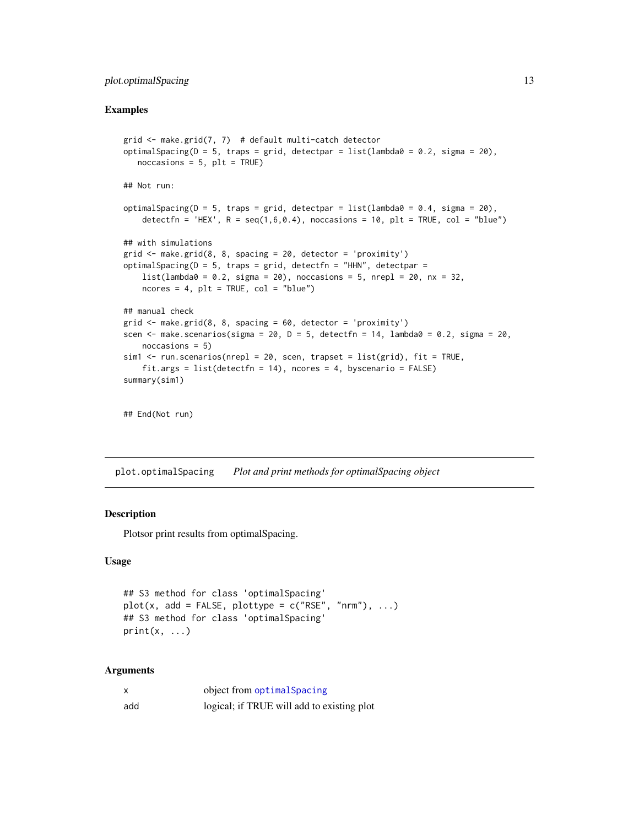# <span id="page-12-0"></span>plot.optimalSpacing 13

#### Examples

```
grid \leq make.grid(7, 7) # default multi-catch detector
optimalSpacing(D = 5, traps = grid, detectpar = list(lambda0 = 0.2, sigma = 20),
   noccasis = 5, plt = TRUE)
## Not run:
optimalSpacing(D = 5, traps = grid, detectpar = list(lambda\theta = 0.4, sigma = 20),
    detectfn = 'HEX', R = \text{seq}(1, 6, 0.4), noccasions = 10, plt = TRUE, col = "blue")
## with simulations
grid <- make.grid(8, 8, spacing = 20, detector = 'proximity')
optimalSpacing(D = 5, traps = grid, detectfn = "HHN", detectpar =
   list(lambda0 = 0.2, sigma = 20), noccasions = 5, nrepl = 20, nx = 32,
   ncores = 4, plt = TRUE, col = "blue")## manual check
grid \leq make.grid(8, 8, spacing = 60, detector = 'proximity')
scen \le make.scenarios(sigma = 20, D = 5, detectfn = 14, lambda0 = 0.2, sigma = 20,
    noccasions = 5)
sim1 <- run.scenarios(nrepl = 20, scen, trapset = list(grid), fit = TRUE,
    fit.args = list(detectfn = 14), ncores = 4, byscenario = FALSE)summary(sim1)
## End(Not run)
```
<span id="page-12-1"></span>plot.optimalSpacing *Plot and print methods for optimalSpacing object*

# Description

Plotsor print results from optimalSpacing.

# Usage

```
## S3 method for class 'optimalSpacing'
plot(x, add = FALSE, plottype = c("RSE", "nrm"), ...)## S3 method for class 'optimalSpacing'
print(x, \ldots)
```
# Arguments

|     | object from optimal Spacing                |
|-----|--------------------------------------------|
| add | logical; if TRUE will add to existing plot |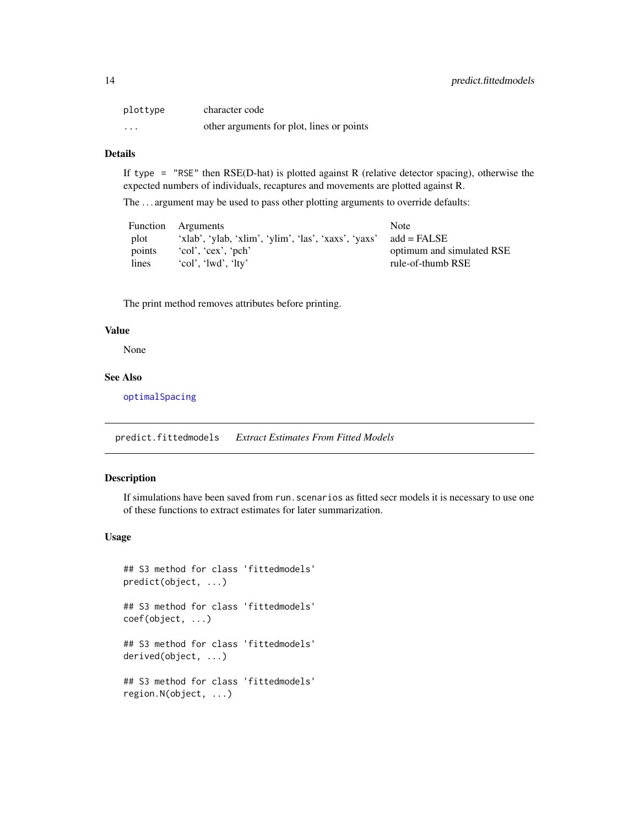<span id="page-13-0"></span>

| plottype                | character code                            |
|-------------------------|-------------------------------------------|
| $\cdot$ $\cdot$ $\cdot$ | other arguments for plot, lines or points |

# Details

If type = "RSE" then  $RSE(D$ -hat) is plotted against R (relative detector spacing), otherwise the expected numbers of individuals, recaptures and movements are plotted against R.

The . . . argument may be used to pass other plotting arguments to override defaults:

|        | Function Arguments                                   | <b>Note</b>               |
|--------|------------------------------------------------------|---------------------------|
| plot   | 'xlab', 'ylab, 'xlim', 'ylim', 'las', 'xaxs', 'yaxs' | add = FALSE               |
| points | $'col'$ , $'cex'$ , $'pch'$                          | optimum and simulated RSE |
| lines  | 'col', 'lwd', 'lty'                                  | rule-of-thumb RSE         |

The print method removes attributes before printing.

#### Value

None

# See Also

[optimalSpacing](#page-10-1)

<span id="page-13-1"></span>predict.fittedmodels *Extract Estimates From Fitted Models*

# Description

If simulations have been saved from run.scenarios as fitted secr models it is necessary to use one of these functions to extract estimates for later summarization.

# Usage

```
## S3 method for class 'fittedmodels'
predict(object, ...)
## S3 method for class 'fittedmodels'
coef(object, ...)
## S3 method for class 'fittedmodels'
derived(object, ...)
## S3 method for class 'fittedmodels'
region.N(object, ...)
```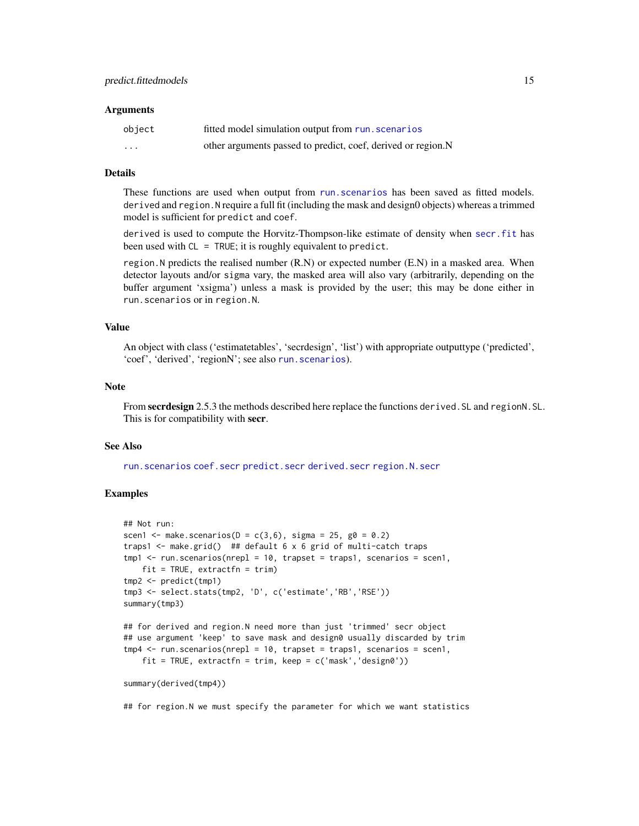#### <span id="page-14-0"></span>**Arguments**

| object   | fitted model simulation output from run. scenarios           |
|----------|--------------------------------------------------------------|
| $\cdots$ | other arguments passed to predict, coef, derived or region.N |

#### Details

These functions are used when output from [run.scenarios](#page-15-1) has been saved as fitted models. derived and region.N require a full fit (including the mask and design0 objects) whereas a trimmed model is sufficient for predict and coef.

derived is used to compute the Horvitz-Thompson-like estimate of density when [secr.fit](#page-0-0) has been used with CL = TRUE; it is roughly equivalent to predict.

region.N predicts the realised number (R.N) or expected number (E.N) in a masked area. When detector layouts and/or sigma vary, the masked area will also vary (arbitrarily, depending on the buffer argument 'xsigma') unless a mask is provided by the user; this may be done either in run.scenarios or in region.N.

#### Value

An object with class ('estimatetables', 'secrdesign', 'list') with appropriate outputtype ('predicted', 'coef', 'derived', 'regionN'; see also [run.scenarios](#page-15-1)).

#### Note

From secrdesign 2.5.3 the methods described here replace the functions derived. SL and regionN. SL. This is for compatibility with secr.

# See Also

[run.scenarios](#page-15-1) [coef.secr](#page-0-0) [predict.secr](#page-0-0) [derived.secr](#page-0-0) [region.N.secr](#page-0-0)

#### Examples

```
## Not run:
scen1 <- make.scenarios(D = c(3, 6), sigma = 25, g0 = 0.2)
traps1 <- make.grid() ## default 6 \times 6 grid of multi-catch traps
tmp1 < -run.scenarios(nrep1 = 10, trapset = traps1, scenarios = scen1,fit = TRUE, extractfn = trim)
tmp2 <- predict(tmp1)
tmp3 <- select.stats(tmp2, 'D', c('estimate','RB','RSE'))
summary(tmp3)
## for derived and region.N need more than just 'trimmed' secr object
```

```
## use argument 'keep' to save mask and design0 usually discarded by trim
tmp4 < -run.scenarios(nrep1 = 10, trapset = traps1, scenarios = scen1,fit = TRUE, extractfn = trim, keep = c('mask', 'design0'))
```

```
summary(derived(tmp4))
```
## for region.N we must specify the parameter for which we want statistics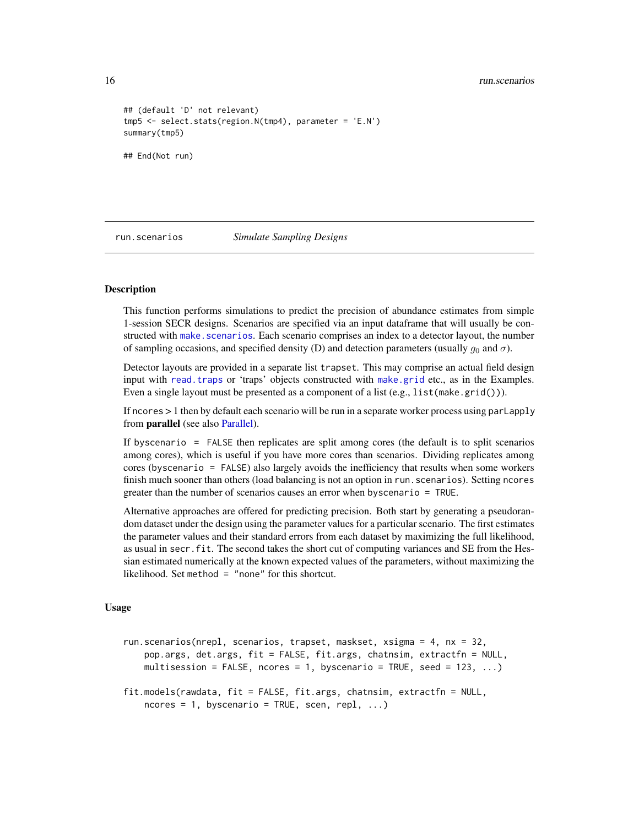<span id="page-15-0"></span>16 run.scenarios comparative contra a contra a contra a contra a contra a contra a contra a contra a contra a contra a contra a contra a contra a contra a contra a contra a contra a contra a contra a contra a contra a cont

```
## (default 'D' not relevant)
tmp5 <- select.stats(region.N(tmp4), parameter = 'E.N')
summary(tmp5)
## End(Not run)
```
#### <span id="page-15-1"></span>run.scenarios *Simulate Sampling Designs*

#### <span id="page-15-2"></span>**Description**

This function performs simulations to predict the precision of abundance estimates from simple 1-session SECR designs. Scenarios are specified via an input dataframe that will usually be constructed with make. scenarios. Each scenario comprises an index to a detector layout, the number of sampling occasions, and specified density (D) and detection parameters (usually  $g_0$  and  $\sigma$ ).

Detector layouts are provided in a separate list trapset. This may comprise an actual field design input with [read.traps](#page-0-0) or 'traps' objects constructed with [make.grid](#page-0-0) etc., as in the Examples. Even a single layout must be presented as a component of a list (e.g., list(make.grid())).

If ncores > 1 then by default each scenario will be run in a separate worker process using parLapply from parallel (see also [Parallel\)](#page-0-0).

If byscenario = FALSE then replicates are split among cores (the default is to split scenarios among cores), which is useful if you have more cores than scenarios. Dividing replicates among cores (byscenario = FALSE) also largely avoids the inefficiency that results when some workers finish much sooner than others (load balancing is not an option in run. scenarios). Setting ncores greater than the number of scenarios causes an error when byscenario = TRUE.

Alternative approaches are offered for predicting precision. Both start by generating a pseudorandom dataset under the design using the parameter values for a particular scenario. The first estimates the parameter values and their standard errors from each dataset by maximizing the full likelihood, as usual in secr.fit. The second takes the short cut of computing variances and SE from the Hessian estimated numerically at the known expected values of the parameters, without maximizing the likelihood. Set method = "none" for this shortcut.

# Usage

```
run.scenarios(nrepl, scenarios, trapset, maskset, xsigma = 4, nx = 32,
   pop.args, det.args, fit = FALSE, fit.args, chatnsim, extractfn = NULL,
   multisession = FALSE, ncores = 1, byscenario = TRUE, seed = 123, \dots)
```

```
fit.models(rawdata, fit = FALSE, fit.args, chatnsim, extractfn = NULL,
   ncores = 1, byscenario = TRUE, scen, repl, ...)
```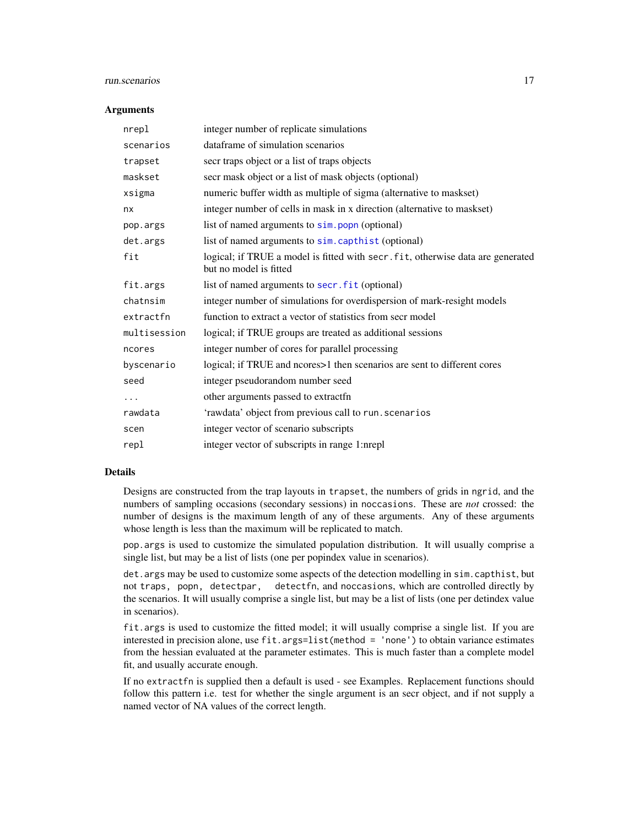#### <span id="page-16-0"></span>run.scenarios and the set of the set of the set of the set of the set of the set of the set of the set of the set of the set of the set of the set of the set of the set of the set of the set of the set of the set of the se

#### **Arguments**

| nrepl        | integer number of replicate simulations                                                                   |
|--------------|-----------------------------------------------------------------------------------------------------------|
| scenarios    | dataframe of simulation scenarios                                                                         |
| trapset      | secr traps object or a list of traps objects                                                              |
| maskset      | secr mask object or a list of mask objects (optional)                                                     |
| xsigma       | numeric buffer width as multiple of sigma (alternative to maskset)                                        |
| nx           | integer number of cells in mask in x direction (alternative to maskset)                                   |
| pop.args     | list of named arguments to sim. popn (optional)                                                           |
| det.args     | list of named arguments to sim. capthist (optional)                                                       |
| fit          | logical; if TRUE a model is fitted with secr. fit, otherwise data are generated<br>but no model is fitted |
| fit.args     | list of named arguments to secr. fit (optional)                                                           |
| chatnsim     | integer number of simulations for overdispersion of mark-resight models                                   |
| extractfn    | function to extract a vector of statistics from secr model                                                |
| multisession | logical; if TRUE groups are treated as additional sessions                                                |
| ncores       | integer number of cores for parallel processing                                                           |
| byscenario   | logical; if TRUE and ncores>1 then scenarios are sent to different cores                                  |
| seed         | integer pseudorandom number seed                                                                          |
| .            | other arguments passed to extractfn                                                                       |
| rawdata      | 'rawdata' object from previous call to run. scenarios                                                     |
| scen         | integer vector of scenario subscripts                                                                     |
| repl         | integer vector of subscripts in range 1:nrepl                                                             |

# Details

Designs are constructed from the trap layouts in trapset, the numbers of grids in ngrid, and the numbers of sampling occasions (secondary sessions) in noccasions. These are *not* crossed: the number of designs is the maximum length of any of these arguments. Any of these arguments whose length is less than the maximum will be replicated to match.

pop.args is used to customize the simulated population distribution. It will usually comprise a single list, but may be a list of lists (one per popindex value in scenarios).

det.args may be used to customize some aspects of the detection modelling in sim.capthist, but not traps, popn, detectpar, detectfn, and noccasions, which are controlled directly by the scenarios. It will usually comprise a single list, but may be a list of lists (one per detindex value in scenarios).

fit.args is used to customize the fitted model; it will usually comprise a single list. If you are interested in precision alone, use fit.args=list(method = 'none') to obtain variance estimates from the hessian evaluated at the parameter estimates. This is much faster than a complete model fit, and usually accurate enough.

If no extractfn is supplied then a default is used - see Examples. Replacement functions should follow this pattern i.e. test for whether the single argument is an secr object, and if not supply a named vector of NA values of the correct length.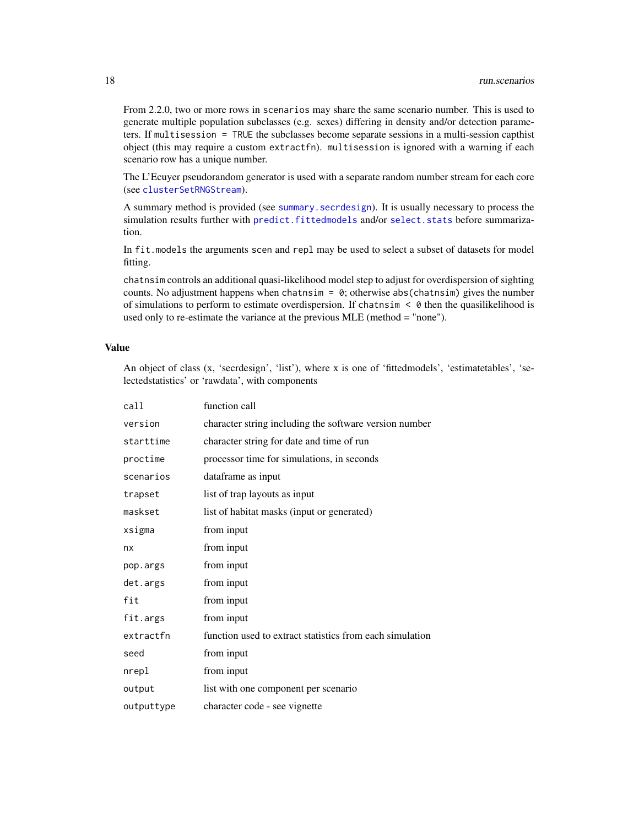<span id="page-17-0"></span>From 2.2.0, two or more rows in scenarios may share the same scenario number. This is used to generate multiple population subclasses (e.g. sexes) differing in density and/or detection parameters. If multisession = TRUE the subclasses become separate sessions in a multi-session capthist object (this may require a custom extractfn). multisession is ignored with a warning if each scenario row has a unique number.

The L'Ecuyer pseudorandom generator is used with a separate random number stream for each core (see [clusterSetRNGStream](#page-0-0)).

A summary method is provided (see [summary.secrdesign](#page-25-2)). It is usually necessary to process the simulation results further with [predict.fittedmodels](#page-13-1) and/or [select.stats](#page-24-1) before summarization.

In fit.models the arguments scen and repl may be used to select a subset of datasets for model fitting.

chatnsim controls an additional quasi-likelihood model step to adjust for overdispersion of sighting counts. No adjustment happens when chatnsim =  $\theta$ ; otherwise abs(chatnsim) gives the number of simulations to perform to estimate overdispersion. If chatnsim < 0 then the quasilikelihood is used only to re-estimate the variance at the previous MLE (method = "none").

### Value

An object of class (x, 'secrdesign', 'list'), where x is one of 'fittedmodels', 'estimatetables', 'selectedstatistics' or 'rawdata', with components

| call       | function call                                            |
|------------|----------------------------------------------------------|
| version    | character string including the software version number   |
| starttime  | character string for date and time of run                |
| proctime   | processor time for simulations, in seconds               |
| scenarios  | dataframe as input                                       |
| trapset    | list of trap layouts as input                            |
| maskset    | list of habitat masks (input or generated)               |
| xsigma     | from input                                               |
| nx         | from input                                               |
| pop.args   | from input                                               |
| det.args   | from input                                               |
| fit        | from input                                               |
| fit.args   | from input                                               |
| extractfn  | function used to extract statistics from each simulation |
| seed       | from input                                               |
| nrepl      | from input                                               |
| output     | list with one component per scenario                     |
| outputtype | character code - see vignette                            |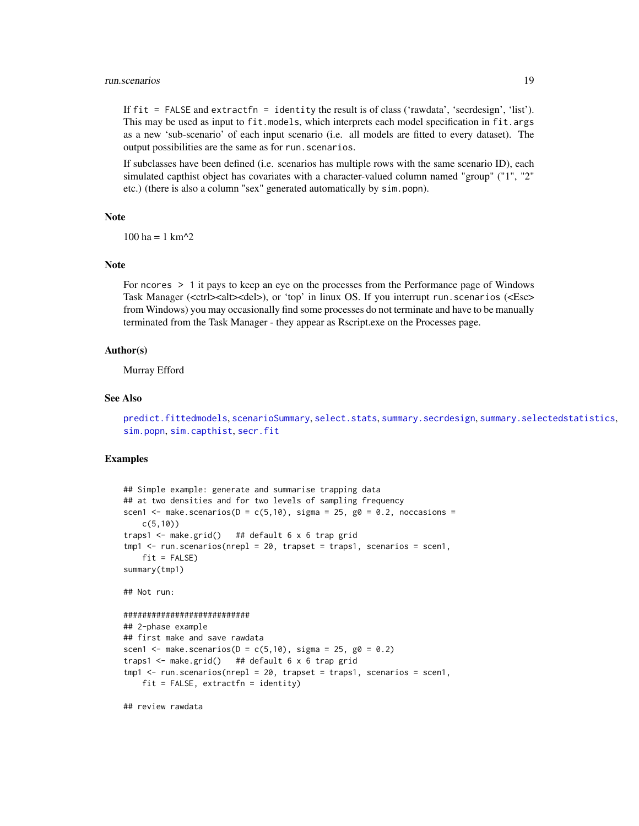#### <span id="page-18-0"></span>run.scenarios and the set of the set of the set of the set of the set of the set of the set of the set of the set of the set of the set of the set of the set of the set of the set of the set of the set of the set of the se

If fit = FALSE and extractfn = identity the result is of class ('rawdata', 'secrdesign', 'list'). This may be used as input to fit.models, which interprets each model specification in fit.args as a new 'sub-scenario' of each input scenario (i.e. all models are fitted to every dataset). The output possibilities are the same as for run. scenarios.

If subclasses have been defined (i.e. scenarios has multiple rows with the same scenario ID), each simulated capthist object has covariates with a character-valued column named "group" ("1", "2" etc.) (there is also a column "sex" generated automatically by sim.popn).

#### Note

 $100$  ha = 1 km<sup> $\lambda$ </sup>2

# **Note**

For ncores > 1 it pays to keep an eye on the processes from the Performance page of Windows Task Manager (<ctrl><alt><del>), or 'top' in linux OS. If you interrupt run.scenarios (<Esc> from Windows) you may occasionally find some processes do not terminate and have to be manually terminated from the Task Manager - they appear as Rscript.exe on the Processes page.

# Author(s)

Murray Efford

#### See Also

```
predict.fittedmodels, scenarioSummary, select.stats, summary.secrdesign, summary.selectedstatistics,
sim.popn, sim.capthist, secr.fit
```
### Examples

```
## Simple example: generate and summarise trapping data
## at two densities and for two levels of sampling frequency
scen1 <- make.scenarios(D = c(5,10), sigma = 25, g0 = 0.2, noccasions =
   c(5,10))
traps1 <- make.grid() ## default 6 x 6 trap grid
tmp1 <- run.scenarios(nrepl = 20, trapset = traps1, scenarios = scen1,
   fit = FALSE)
summary(tmp1)
## Not run:
###########################
## 2-phase example
## first make and save rawdata
scen1 <- make.scenarios(D = c(5, 10), sigma = 25, g0 = 0.2)
traps1 \leq make.grid() ## default 6 x 6 trap grid
tmp1 < -run.scenarios(nrep1 = 20, trapset = traps1, scenarios = scen1,fit = FALSE, extractfn = identity)
```
## review rawdata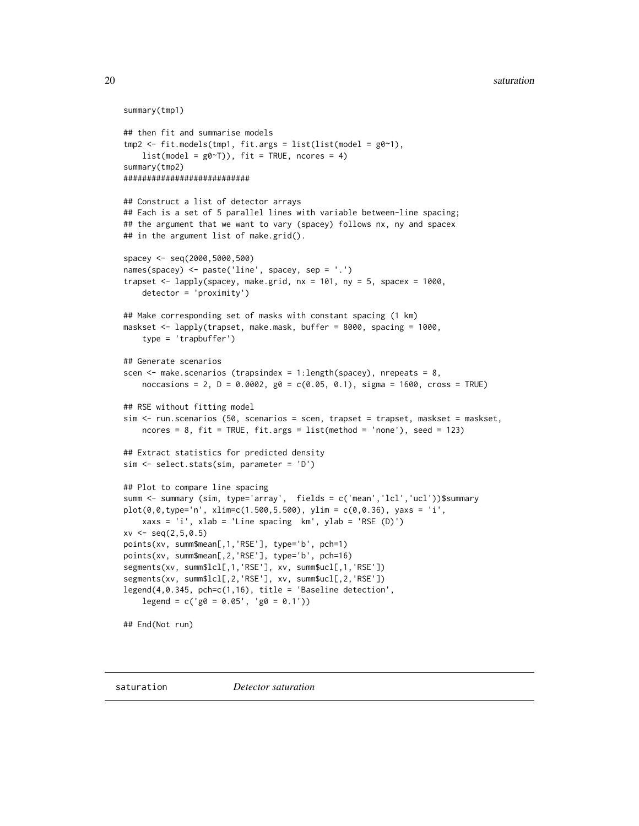```
summary(tmp1)
## then fit and summarise models
tmp2 < - fit.models(tmp1, fit.args = list(list(model = g0~1),list(model = g0~T)), fit = TRUE, ncores = 4)
summary(tmp2)
###########################
## Construct a list of detector arrays
## Each is a set of 5 parallel lines with variable between-line spacing;
## the argument that we want to vary (spacey) follows nx, ny and spacex
## in the argument list of make.grid().
spacey <- seq(2000,5000,500)
names(spacey) <- paste('line', spacey, sep = '.')
trapset \leq lapply(spacey, make.grid, nx = 101, ny = 5, spacex = 1000,
    detector = 'proximity')
## Make corresponding set of masks with constant spacing (1 km)
maskset <- lapply(trapset, make.mask, buffer = 8000, spacing = 1000,
    type = 'trapbuffer')
## Generate scenarios
scen \leq make. scenarios (trapsindex = 1:length(spacey), nrepeats = 8,
   noccasions = 2, D = 0.0002, g0 = c(0.05, 0.1), sigma = 1600, cross = TRUE)
## RSE without fitting model
sim <- run.scenarios (50, scenarios = scen, trapset = trapset, maskset = maskset,
   ncores = 8, fit = TRUE, fit = args = list(method = 'none'), seed = 123)## Extract statistics for predicted density
sim <- select.stats(sim, parameter = 'D')
## Plot to compare line spacing
summ <- summary (sim, type='array', fields = c('mean','lcl','ucl'))$summary
plot(0, 0, type='n', xlim=c(1.500, 5.500), ylim = c(0, 0.36), yax = 'i',xaxs = 'i', xlab = 'Line spacing km', ylab = 'RSE (D)')
xv \leq -\text{seq}(2, 5, 0.5)points(xv, summ$mean[,1,'RSE'], type='b', pch=1)
points(xv, summ$mean[,2,'RSE'], type='b', pch=16)
segments(xv, summ$lcl[,1,'RSE'], xv, summ$ucl[,1,'RSE'])
segments(xv, summ$lcl[,2,'RSE'], xv, summ$ucl[,2,'RSE'])
legend(4,0.345, pch=c(1,16), title = 'Baseline detection',
    legend = c('g0 = 0.05', 'g0 = 0.1'))## End(Not run)
```
<span id="page-19-1"></span>saturation *Detector saturation*

<span id="page-19-0"></span>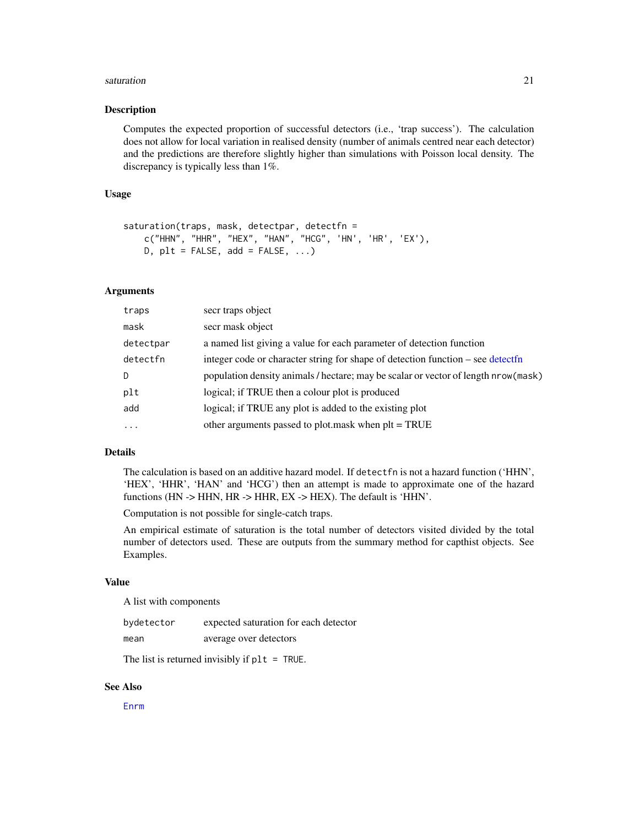#### <span id="page-20-0"></span>saturation 21

#### Description

Computes the expected proportion of successful detectors (i.e., 'trap success'). The calculation does not allow for local variation in realised density (number of animals centred near each detector) and the predictions are therefore slightly higher than simulations with Poisson local density. The discrepancy is typically less than 1%.

# Usage

```
saturation(traps, mask, detectpar, detectfn =
   c("HHN", "HHR", "HEX", "HAN", "HCG", 'HN', 'HR', 'EX'),
   D, plt = FALSE, add = FALSE, ...)
```
# Arguments

| traps     | secr traps object                                                                   |
|-----------|-------------------------------------------------------------------------------------|
| mask      | secr mask object                                                                    |
| detectpar | a named list giving a value for each parameter of detection function                |
| detectfn  | integer code or character string for shape of detection function – see detectfn     |
| D         | population density animals / hectare; may be scalar or vector of length nrow (mask) |
| plt       | logical; if TRUE then a colour plot is produced                                     |
| add       | logical; if TRUE any plot is added to the existing plot                             |
| $\cdot$   | other arguments passed to plot.mask when plt = TRUE                                 |

# Details

The calculation is based on an additive hazard model. If detectfn is not a hazard function ('HHN', 'HEX', 'HHR', 'HAN' and 'HCG') then an attempt is made to approximate one of the hazard functions (HN -> HHN, HR -> HHR, EX -> HEX). The default is 'HHN'.

Computation is not possible for single-catch traps.

An empirical estimate of saturation is the total number of detectors visited divided by the total number of detectors used. These are outputs from the summary method for capthist objects. See Examples.

#### Value

A list with components

| bydetector | expected saturation for each detector |
|------------|---------------------------------------|
| mean       | average over detectors                |

The list is returned invisibly if plt = TRUE.

#### See Also

[Enrm](#page-5-1)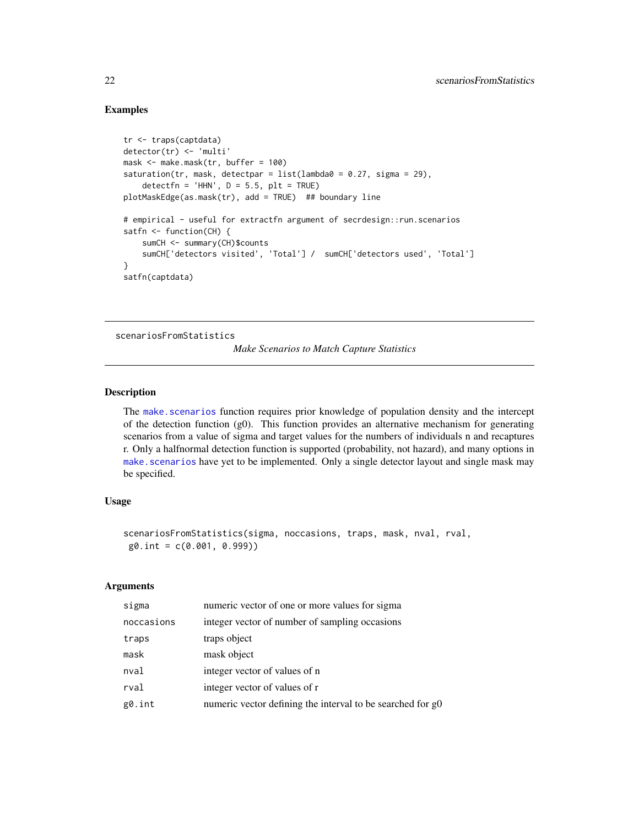# Examples

```
tr <- traps(captdata)
detector(tr) <- 'multi'
mask <- make.mask(tr, buffer = 100)
saturation(tr, mask, detectpar = list(lambda@ = 0.27, sigma = 29),
    detectfn = 'HHN', D = 5.5, plt = TRUE)
plotMaskEdge(as.mask(tr), add = TRUE) ## boundary line
# empirical - useful for extractfn argument of secrdesign::run.scenarios
satfn \leq function(CH) {
    sumCH <- summary(CH)$counts
    sumCH['detectors visited', 'Total'] / sumCH['detectors used', 'Total']
}
satfn(captdata)
```
<span id="page-21-1"></span>scenariosFromStatistics

# *Make Scenarios to Match Capture Statistics*

# Description

The [make.scenarios](#page-8-1) function requires prior knowledge of population density and the intercept of the detection function (g0). This function provides an alternative mechanism for generating scenarios from a value of sigma and target values for the numbers of individuals n and recaptures r. Only a halfnormal detection function is supported (probability, not hazard), and many options in make. scenarios have yet to be implemented. Only a single detector layout and single mask may be specified.

# Usage

```
scenariosFromStatistics(sigma, noccasions, traps, mask, nval, rval,
g0.int = c(0.001, 0.999))
```
# Arguments

| sigma      | numeric vector of one or more values for sigma             |
|------------|------------------------------------------------------------|
| noccasions | integer vector of number of sampling occasions             |
| traps      | traps object                                               |
| mask       | mask object                                                |
| nval       | integer vector of values of n                              |
| rval       | integer vector of values of r                              |
| g0.int     | numeric vector defining the interval to be searched for g0 |

<span id="page-21-0"></span>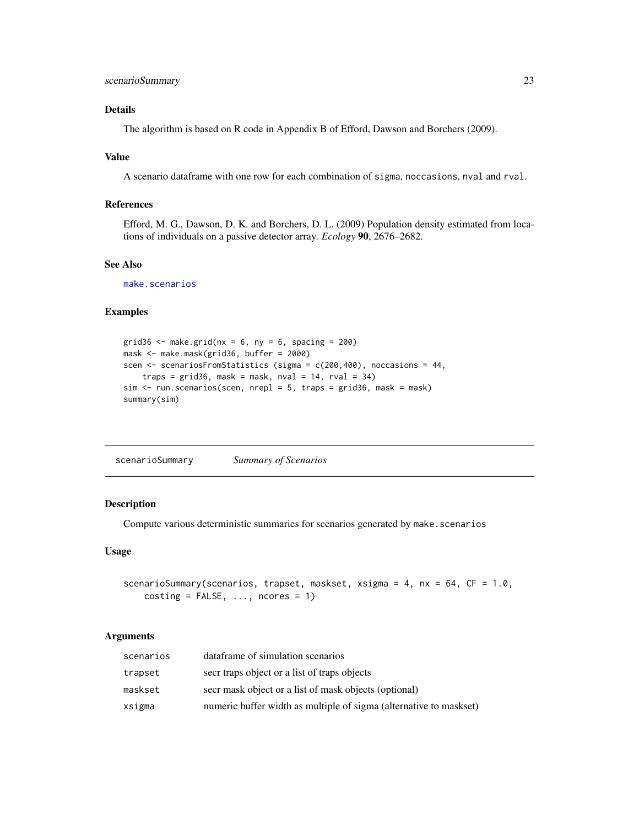# <span id="page-22-0"></span>Details

The algorithm is based on R code in Appendix B of Efford, Dawson and Borchers (2009).

#### Value

A scenario dataframe with one row for each combination of sigma, noccasions, nval and rval.

# References

Efford, M. G., Dawson, D. K. and Borchers, D. L. (2009) Population density estimated from locations of individuals on a passive detector array. *Ecology* 90, 2676–2682.

#### See Also

[make.scenarios](#page-8-1)

# Examples

```
grid36 <- make.grid(nx = 6, ny = 6, spacing = 200)
mask <- make.mask(grid36, buffer = 2000)
scen <- scenariosFromStatistics (sigma = c(200,400), noccasions = 44,
   traps = grid36, mask = mask, nval = 14, rval = 34)
sim < run.scenarios(scen, nrepl = 5, traps = grid36, mask = mask)
summary(sim)
```
<span id="page-22-1"></span>

| scenarioSummary | <b>Summary of Scenarios</b> |
|-----------------|-----------------------------|
|-----------------|-----------------------------|

# Description

Compute various deterministic summaries for scenarios generated by make.scenarios

#### Usage

scenarioSummary(scenarios, trapset, maskset, xsigma =  $4$ , nx =  $64$ , CF =  $1.0$ , costing =  $FALSE, ..., nores = 1)$ 

# Arguments

| scenarios | dataframe of simulation scenarios                                  |
|-----------|--------------------------------------------------------------------|
| trapset   | secr traps object or a list of traps objects                       |
| maskset   | secr mask object or a list of mask objects (optional)              |
| xsigma    | numeric buffer width as multiple of sigma (alternative to maskset) |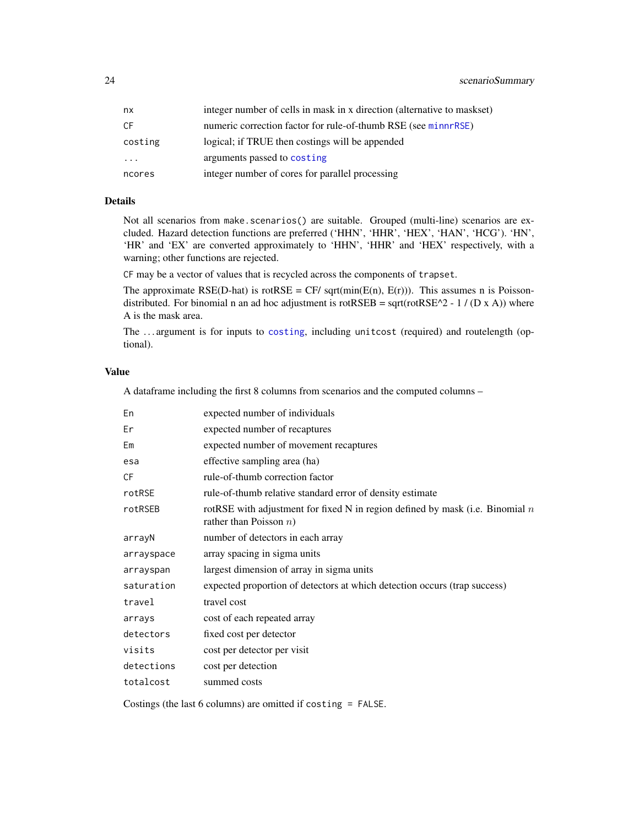<span id="page-23-0"></span>

| nx      | integer number of cells in mask in x direction (alternative to maskset) |
|---------|-------------------------------------------------------------------------|
| СF      | numeric correction factor for rule-of-thumb RSE (see minnrRSE)          |
| costing | logical; if TRUE then costings will be appended                         |
| .       | arguments passed to costing                                             |
| ncores  | integer number of cores for parallel processing                         |

# Details

Not all scenarios from make.scenarios() are suitable. Grouped (multi-line) scenarios are excluded. Hazard detection functions are preferred ('HHN', 'HHR', 'HEX', 'HAN', 'HCG'). 'HN', 'HR' and 'EX' are converted approximately to 'HHN', 'HHR' and 'HEX' respectively, with a warning; other functions are rejected.

CF may be a vector of values that is recycled across the components of trapset.

The approximate RSE(D-hat) is rotRSE = CF/ sqrt( $min(E(n), E(r))$ ). This assumes n is Poissondistributed. For binomial n an ad hoc adjustment is rotRSEB = sqrt(rotRSE^2 - 1 / (D x A)) where A is the mask area.

The . . . argument is for inputs to [costing](#page-2-1), including unitcost (required) and routelength (optional).

# Value

A dataframe including the first 8 columns from scenarios and the computed columns –

| En         | expected number of individuals                                                                               |
|------------|--------------------------------------------------------------------------------------------------------------|
| Er         | expected number of recaptures                                                                                |
| Em         | expected number of movement recaptures                                                                       |
| esa        | effective sampling area (ha)                                                                                 |
| CF         | rule-of-thumb correction factor                                                                              |
| rotRSE     | rule-of-thumb relative standard error of density estimate                                                    |
| rotRSEB    | rotRSE with adjustment for fixed N in region defined by mask (i.e. Binomial $n$<br>rather than Poisson $n$ ) |
| arrayN     | number of detectors in each array                                                                            |
| arrayspace | array spacing in sigma units                                                                                 |
| arrayspan  | largest dimension of array in sigma units                                                                    |
| saturation | expected proportion of detectors at which detection occurs (trap success)                                    |
| travel     | travel cost                                                                                                  |
| arrays     | cost of each repeated array                                                                                  |
| detectors  | fixed cost per detector                                                                                      |
| visits     | cost per detector per visit                                                                                  |
| detections | cost per detection                                                                                           |
| totalcost  | summed costs                                                                                                 |
|            |                                                                                                              |

Costings (the last 6 columns) are omitted if costing = FALSE.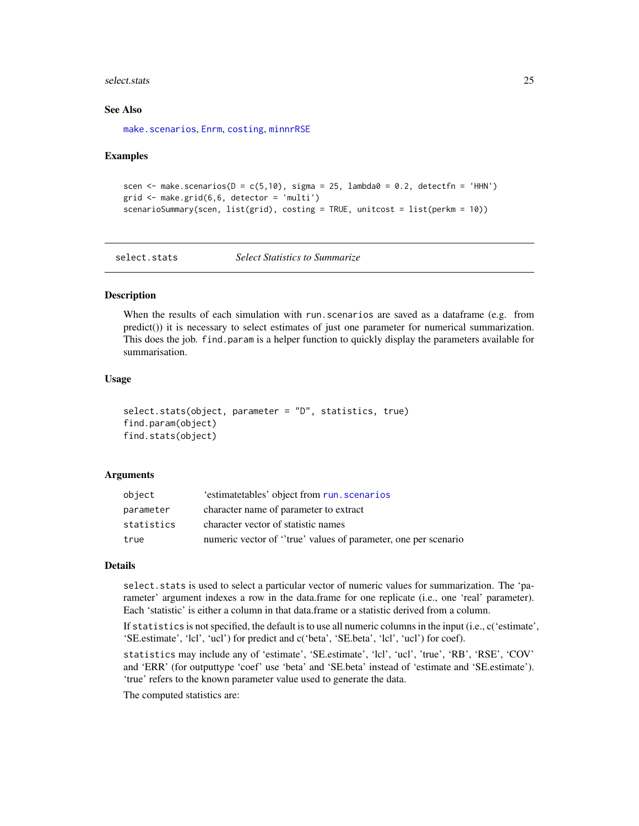#### <span id="page-24-0"></span>select.stats 25

#### See Also

[make.scenarios](#page-8-1), [Enrm](#page-5-1), [costing](#page-2-1), [minnrRSE](#page-5-1)

#### Examples

```
scen \le make.scenarios(D = c(5, 10), sigma = 25, lambda0 = 0.2, detectfn = 'HHN')
grid \leftarrow make.grid(6,6, detector = 'multi')scenarioSummary(scen, list(grid), costing = TRUE, unitcost = list(perkm = 10))
```
<span id="page-24-1"></span>

select.stats *Select Statistics to Summarize*

# <span id="page-24-2"></span>Description

When the results of each simulation with run.scenarios are saved as a dataframe (e.g. from predict()) it is necessary to select estimates of just one parameter for numerical summarization. This does the job. find.param is a helper function to quickly display the parameters available for summarisation.

# Usage

```
select.stats(object, parameter = "D", statistics, true)
find.param(object)
find.stats(object)
```
#### Arguments

| object     | 'estimatetables' object from run. scenarios                    |
|------------|----------------------------------------------------------------|
| parameter  | character name of parameter to extract                         |
| statistics | character vector of statistic names                            |
| true       | numeric vector of "true" values of parameter, one per scenario |

#### Details

select.stats is used to select a particular vector of numeric values for summarization. The 'parameter' argument indexes a row in the data.frame for one replicate (i.e., one 'real' parameter). Each 'statistic' is either a column in that data.frame or a statistic derived from a column.

If statistics is not specified, the default is to use all numeric columns in the input (i.e., c('estimate', 'SE.estimate', 'lcl', 'ucl') for predict and c('beta', 'SE.beta', 'lcl', 'ucl') for coef).

statistics may include any of 'estimate', 'SE.estimate', 'lcl', 'ucl', 'true', 'RB', 'RSE', 'COV' and 'ERR' (for outputtype 'coef' use 'beta' and 'SE.beta' instead of 'estimate and 'SE.estimate'). 'true' refers to the known parameter value used to generate the data.

The computed statistics are: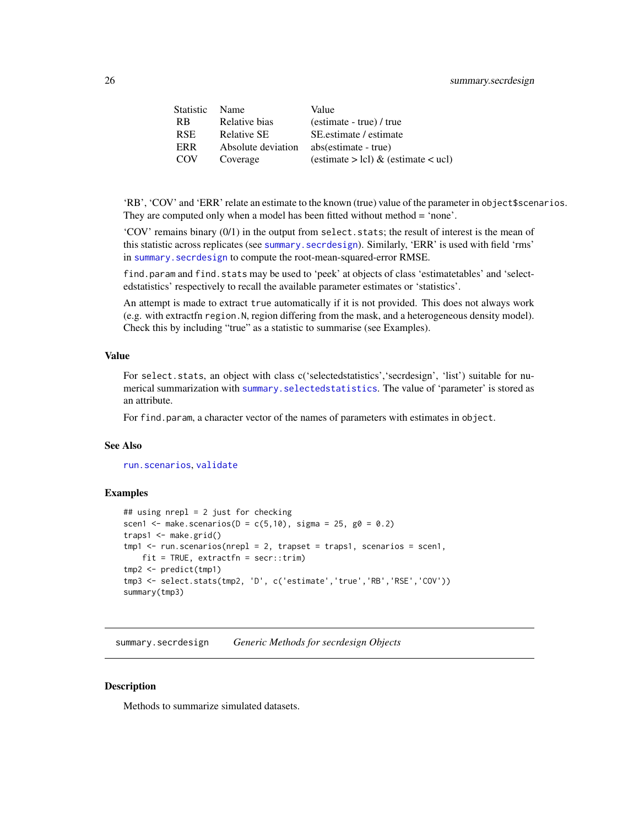<span id="page-25-0"></span>

| Statistic  | <b>Name</b>        | Value                                   |
|------------|--------------------|-----------------------------------------|
| <b>RB</b>  | Relative bias      | (estimate - true) / true                |
| <b>RSE</b> | <b>Relative SE</b> | SE estimate / estimate                  |
| ERR        | Absolute deviation | abs(estimate - true)                    |
| <b>COV</b> | Coverage           | (estimate $>$ lcl) & (estimate $<$ ucl) |
|            |                    |                                         |

'RB', 'COV' and 'ERR' relate an estimate to the known (true) value of the parameter in object\$scenarios. They are computed only when a model has been fitted without method = 'none'.

 $'COV'$  remains binary  $(0/1)$  in the output from select. stats; the result of interest is the mean of this statistic across replicates (see [summary.secrdesign](#page-25-2)). Similarly, 'ERR' is used with field 'rms' in summary. secrdesign to compute the root-mean-squared-error RMSE.

find.param and find.stats may be used to 'peek' at objects of class 'estimatetables' and 'selectedstatistics' respectively to recall the available parameter estimates or 'statistics'.

An attempt is made to extract true automatically if it is not provided. This does not always work (e.g. with extractfn region.N, region differing from the mask, and a heterogeneous density model). Check this by including "true" as a statistic to summarise (see Examples).

# Value

For select.stats, an object with class c('selectedstatistics', 'secrdesign', 'list') suitable for numerical summarization with [summary.selectedstatistics](#page-25-1). The value of 'parameter' is stored as an attribute.

For find.param, a character vector of the names of parameters with estimates in object.

### See Also

[run.scenarios](#page-15-1), [validate](#page-28-1)

# **Examples**

```
## using nrepl = 2 just for checking
scen1 <- make.scenarios(D = c(5, 10), sigma = 25, g0 = 0.2)
traps1 <- make.grid()
tmp1 < -run.scenarios(nrepl = 2, trapset = traps1, scenarios = scen1,fit = TRUE, extractfn = secr::trim)
tmp2 <- predict(tmp1)
tmp3 <- select.stats(tmp2, 'D', c('estimate','true','RB','RSE','COV'))
summary(tmp3)
```
<span id="page-25-2"></span>summary.secrdesign *Generic Methods for secrdesign Objects*

#### <span id="page-25-1"></span>**Description**

Methods to summarize simulated datasets.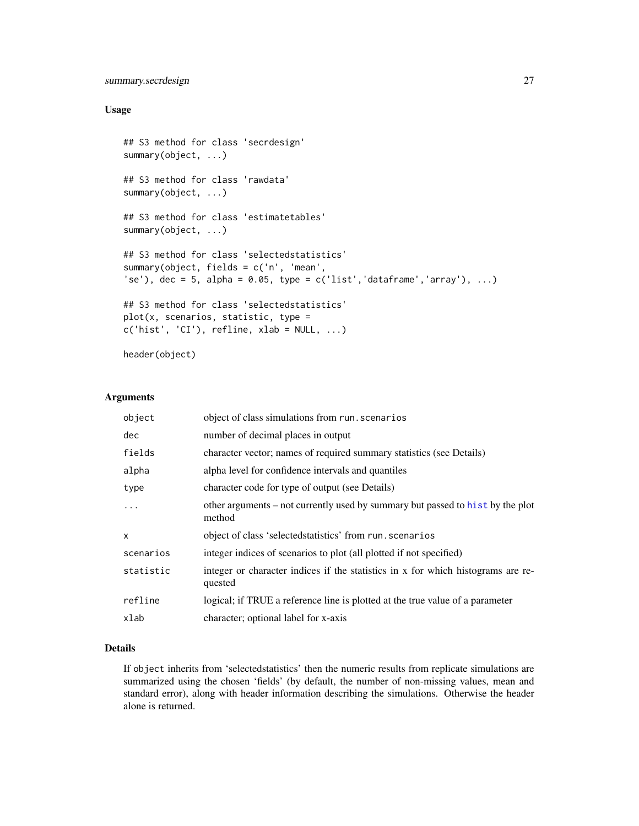# <span id="page-26-0"></span>summary.secrdesign 27

# Usage

```
## S3 method for class 'secrdesign'
summary(object, ...)
## S3 method for class 'rawdata'
summary(object, ...)
## S3 method for class 'estimatetables'
summary(object, ...)
## S3 method for class 'selectedstatistics'
summary(object, fields = c('n', 'mean',
'se'), dec = 5, alpha = 0.05, type = c('list', 'dataframe', 'array'), ...)## S3 method for class 'selectedstatistics'
plot(x, scenarios, statistic, type =
c('hist', 'CI'), refline, xlab = NULL, ...)
```
header(object)

# Arguments

| object of class simulations from run. scenarios                                             |
|---------------------------------------------------------------------------------------------|
| number of decimal places in output                                                          |
| character vector; names of required summary statistics (see Details)                        |
| alpha level for confidence intervals and quantiles                                          |
| character code for type of output (see Details)                                             |
| other arguments – not currently used by summary but passed to hist by the plot<br>method    |
| object of class 'selected statistics' from run. scenarios                                   |
| integer indices of scenarios to plot (all plotted if not specified)                         |
| integer or character indices if the statistics in x for which histograms are re-<br>quested |
| logical; if TRUE a reference line is plotted at the true value of a parameter               |
| character; optional label for x-axis                                                        |
|                                                                                             |

# Details

If object inherits from 'selectedstatistics' then the numeric results from replicate simulations are summarized using the chosen 'fields' (by default, the number of non-missing values, mean and standard error), along with header information describing the simulations. Otherwise the header alone is returned.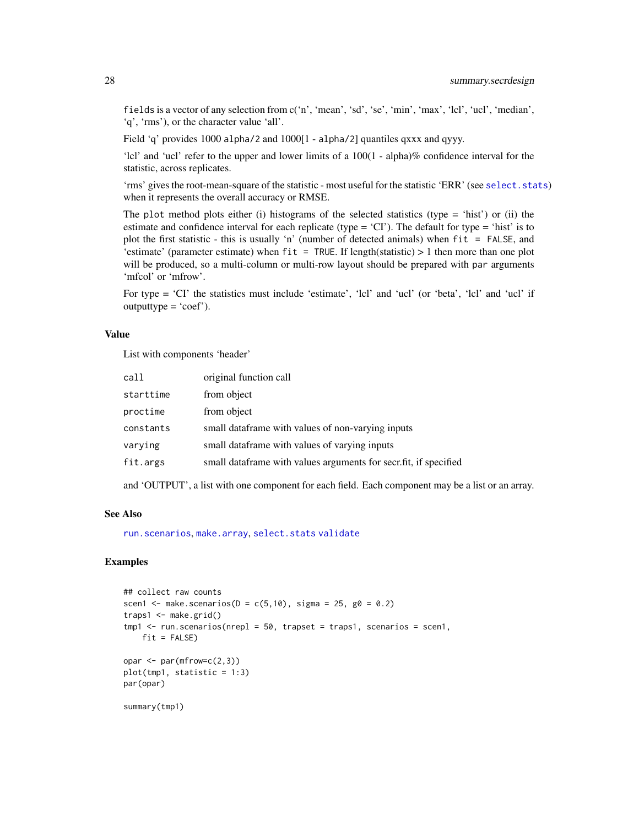fields is a vector of any selection from c('n', 'mean', 'sd', 'se', 'min', 'max', 'lcl', 'ucl', 'median', 'q', 'rms'), or the character value 'all'.

Field 'q' provides 1000 alpha/2 and 1000[1 - alpha/2] quantiles qxxx and qyyy.

'lcl' and 'ucl' refer to the upper and lower limits of a 100(1 - alpha)% confidence interval for the statistic, across replicates.

'rms' gives the root-mean-square of the statistic - most useful for the statistic 'ERR' (see [select.stats](#page-24-1)) when it represents the overall accuracy or RMSE.

The plot method plots either (i) histograms of the selected statistics (type  $=$  'hist') or (ii) the estimate and confidence interval for each replicate (type =  $^{\circ}$ CI'). The default for type =  $^{\circ}$ hist' is to plot the first statistic - this is usually 'n' (number of detected animals) when fit = FALSE, and 'estimate' (parameter estimate) when  $fit = TRUE$ . If length(statistic) > 1 then more than one plot will be produced, so a multi-column or multi-row layout should be prepared with par arguments 'mfcol' or 'mfrow'.

For type = 'CI' the statistics must include 'estimate', 'lcl' and 'ucl' (or 'beta', 'lcl' and 'ucl' if  $outputtype = 'coef'.$ 

#### Value

List with components 'header'

| call      | original function call                                             |
|-----------|--------------------------------------------------------------------|
| starttime | from object                                                        |
| proctime  | from object                                                        |
| constants | small dataframe with values of non-varying inputs                  |
| varying   | small dataframe with values of varying inputs                      |
| fit.args  | small data frame with values arguments for secrifict, if specified |

and 'OUTPUT', a list with one component for each field. Each component may be a list or an array.

# See Also

[run.scenarios](#page-15-1), [make.array](#page-7-1), [select.stats](#page-24-1) [validate](#page-28-1)

#### Examples

```
## collect raw counts
scen1 <- make.scenarios(D = c(5,10), sigma = 25, g0 = 0.2)
traps1 <- make.grid()
tmp1 < - run.scanarios(nrep1 = 50, trapset = traps1, scenarios = scen1,fit = FALSE)
opar \leq par(mfrow=c(2,3))
plot(tmp1, statistic = 1:3)par(opar)
summary(tmp1)
```
<span id="page-27-0"></span>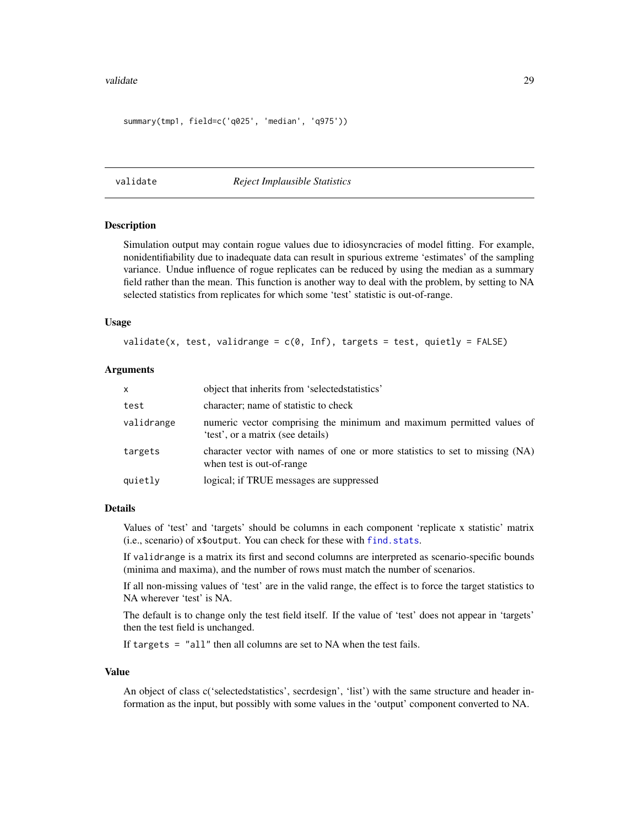#### <span id="page-28-0"></span>validate 29

```
summary(tmp1, field=c('q025', 'median', 'q975'))
```
<span id="page-28-1"></span>validate *Reject Implausible Statistics*

#### Description

Simulation output may contain rogue values due to idiosyncracies of model fitting. For example, nonidentifiability due to inadequate data can result in spurious extreme 'estimates' of the sampling variance. Undue influence of rogue replicates can be reduced by using the median as a summary field rather than the mean. This function is another way to deal with the problem, by setting to NA selected statistics from replicates for which some 'test' statistic is out-of-range.

### Usage

validate(x, test, validrange =  $c(0, \text{Inf})$ , targets = test, quietly = FALSE)

# Arguments

| X          | object that inherits from 'selected statistics'                                                            |
|------------|------------------------------------------------------------------------------------------------------------|
| test       | character; name of statistic to check                                                                      |
| validrange | numeric vector comprising the minimum and maximum permitted values of<br>'test', or a matrix (see details) |
| targets    | character vector with names of one or more statistics to set to missing (NA)<br>when test is out-of-range. |
| quietly    | logical; if TRUE messages are suppressed                                                                   |

### Details

Values of 'test' and 'targets' should be columns in each component 'replicate x statistic' matrix (i.e., scenario) of x\$output. You can check for these with [find.stats](#page-24-2).

If validrange is a matrix its first and second columns are interpreted as scenario-specific bounds (minima and maxima), and the number of rows must match the number of scenarios.

If all non-missing values of 'test' are in the valid range, the effect is to force the target statistics to NA wherever 'test' is NA.

The default is to change only the test field itself. If the value of 'test' does not appear in 'targets' then the test field is unchanged.

If targets = "all" then all columns are set to NA when the test fails.

#### Value

An object of class c('selectedstatistics', secrdesign', 'list') with the same structure and header information as the input, but possibly with some values in the 'output' component converted to NA.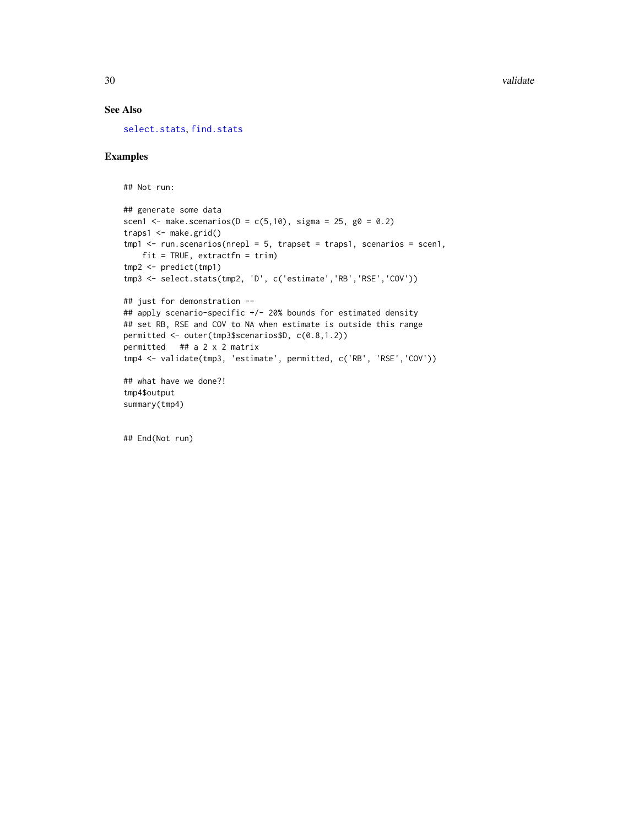# <span id="page-29-0"></span>See Also

[select.stats](#page-24-1), [find.stats](#page-24-2)

#### Examples

```
## Not run:
## generate some data
scen1 <- make.scenarios(D = c(5,10), sigma = 25, g0 = 0.2)
traps1 <- make.grid()
tmp1 < -run.scenarios(nrep1 = 5, trapset = traps1, scenarios = scen1,fit = TRUE, extractfn = trim)
tmp2 <- predict(tmp1)
tmp3 <- select.stats(tmp2, 'D', c('estimate','RB','RSE','COV'))
## just for demonstration --
## apply scenario-specific +/- 20% bounds for estimated density
## set RB, RSE and COV to NA when estimate is outside this range
permitted <- outer(tmp3$scenarios$D, c(0.8,1.2))
permitted ## a 2 x 2 matrix
tmp4 <- validate(tmp3, 'estimate', permitted, c('RB', 'RSE','COV'))
## what have we done?!
tmp4$output
summary(tmp4)
```
## End(Not run)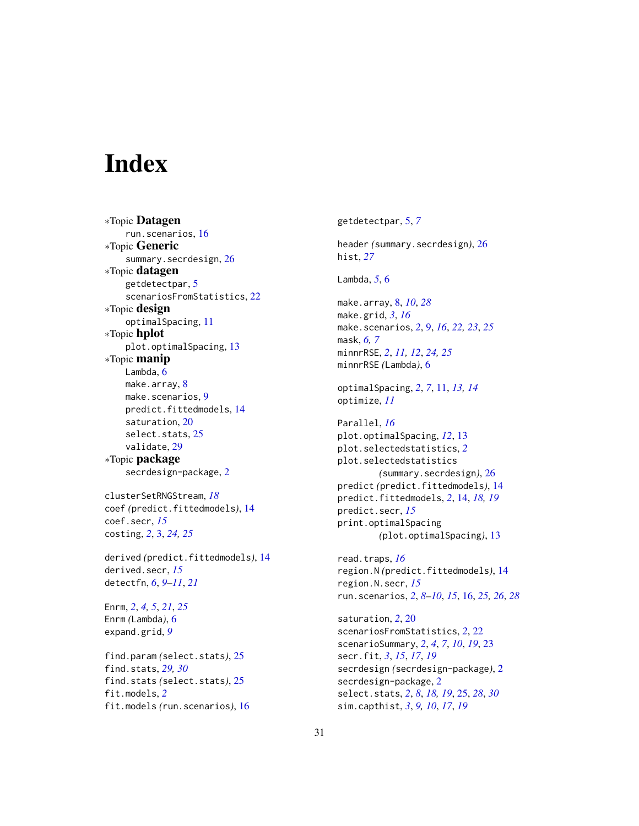# <span id="page-30-0"></span>**Index**

∗Topic Datagen run.scenarios, [16](#page-15-0) ∗Topic Generic summary.secrdesign, [26](#page-25-0) ∗Topic datagen getdetectpar, [5](#page-4-0) scenariosFromStatistics, [22](#page-21-0) ∗Topic design optimalSpacing, [11](#page-10-0) ∗Topic hplot plot.optimalSpacing, [13](#page-12-0) ∗Topic manip Lambda, [6](#page-5-0) make.array, [8](#page-7-0) make.scenarios, [9](#page-8-0) predict.fittedmodels, [14](#page-13-0) saturation, [20](#page-19-0) select.stats, [25](#page-24-0) validate, [29](#page-28-0) ∗Topic package secrdesign-package, [2](#page-1-0) clusterSetRNGStream, *[18](#page-17-0)* coef *(*predict.fittedmodels*)*, [14](#page-13-0) coef.secr, *[15](#page-14-0)* costing, *[2](#page-1-0)*, [3,](#page-2-0) *[24,](#page-23-0) [25](#page-24-0)* derived *(*predict.fittedmodels*)*, [14](#page-13-0) derived.secr, *[15](#page-14-0)* detectfn, *[6](#page-5-0)*, *[9](#page-8-0)[–11](#page-10-0)*, *[21](#page-20-0)* Enrm, *[2](#page-1-0)*, *[4,](#page-3-0) [5](#page-4-0)*, *[21](#page-20-0)*, *[25](#page-24-0)* Enrm *(*Lambda*)*, [6](#page-5-0) expand.grid, *[9](#page-8-0)* find.param *(*select.stats*)*, [25](#page-24-0) find.stats, *[29,](#page-28-0) [30](#page-29-0)* find.stats *(*select.stats*)*, [25](#page-24-0) fit.models, *[2](#page-1-0)* fit.models *(*run.scenarios*)*, [16](#page-15-0)

getdetectpar, [5,](#page-4-0) *[7](#page-6-0)* header *(*summary.secrdesign*)*, [26](#page-25-0) hist, *[27](#page-26-0)* Lambda, *[5](#page-4-0)*, [6](#page-5-0) make.array, [8,](#page-7-0) *[10](#page-9-0)*, *[28](#page-27-0)* make.grid, *[3](#page-2-0)*, *[16](#page-15-0)* make.scenarios, *[2](#page-1-0)*, [9,](#page-8-0) *[16](#page-15-0)*, *[22,](#page-21-0) [23](#page-22-0)*, *[25](#page-24-0)* mask, *[6,](#page-5-0) [7](#page-6-0)* minnrRSE, *[2](#page-1-0)*, *[11,](#page-10-0) [12](#page-11-0)*, *[24,](#page-23-0) [25](#page-24-0)* minnrRSE *(*Lambda*)*, [6](#page-5-0) optimalSpacing, *[2](#page-1-0)*, *[7](#page-6-0)*, [11,](#page-10-0) *[13,](#page-12-0) [14](#page-13-0)* optimize, *[11](#page-10-0)* Parallel, *[16](#page-15-0)* plot.optimalSpacing, *[12](#page-11-0)*, [13](#page-12-0) plot.selectedstatistics, *[2](#page-1-0)* plot.selectedstatistics *(*summary.secrdesign*)*, [26](#page-25-0) predict *(*predict.fittedmodels*)*, [14](#page-13-0) predict.fittedmodels, *[2](#page-1-0)*, [14,](#page-13-0) *[18,](#page-17-0) [19](#page-18-0)* predict.secr, *[15](#page-14-0)* print.optimalSpacing *(*plot.optimalSpacing*)*, [13](#page-12-0) read.traps, *[16](#page-15-0)* region.N *(*predict.fittedmodels*)*, [14](#page-13-0) region.N.secr, *[15](#page-14-0)* run.scenarios, *[2](#page-1-0)*, *[8](#page-7-0)[–10](#page-9-0)*, *[15](#page-14-0)*, [16,](#page-15-0) *[25,](#page-24-0) [26](#page-25-0)*, *[28](#page-27-0)* saturation, *[2](#page-1-0)*, [20](#page-19-0) scenariosFromStatistics, *[2](#page-1-0)*, [22](#page-21-0) scenarioSummary, *[2](#page-1-0)*, *[4](#page-3-0)*, *[7](#page-6-0)*, *[10](#page-9-0)*, *[19](#page-18-0)*, [23](#page-22-0) secr.fit, *[3](#page-2-0)*, *[15](#page-14-0)*, *[17](#page-16-0)*, *[19](#page-18-0)* secrdesign *(*secrdesign-package*)*, [2](#page-1-0) secrdesign-package, [2](#page-1-0) select.stats, *[2](#page-1-0)*, *[8](#page-7-0)*, *[18,](#page-17-0) [19](#page-18-0)*, [25,](#page-24-0) *[28](#page-27-0)*, *[30](#page-29-0)* sim.capthist, *[3](#page-2-0)*, *[9,](#page-8-0) [10](#page-9-0)*, *[17](#page-16-0)*, *[19](#page-18-0)*